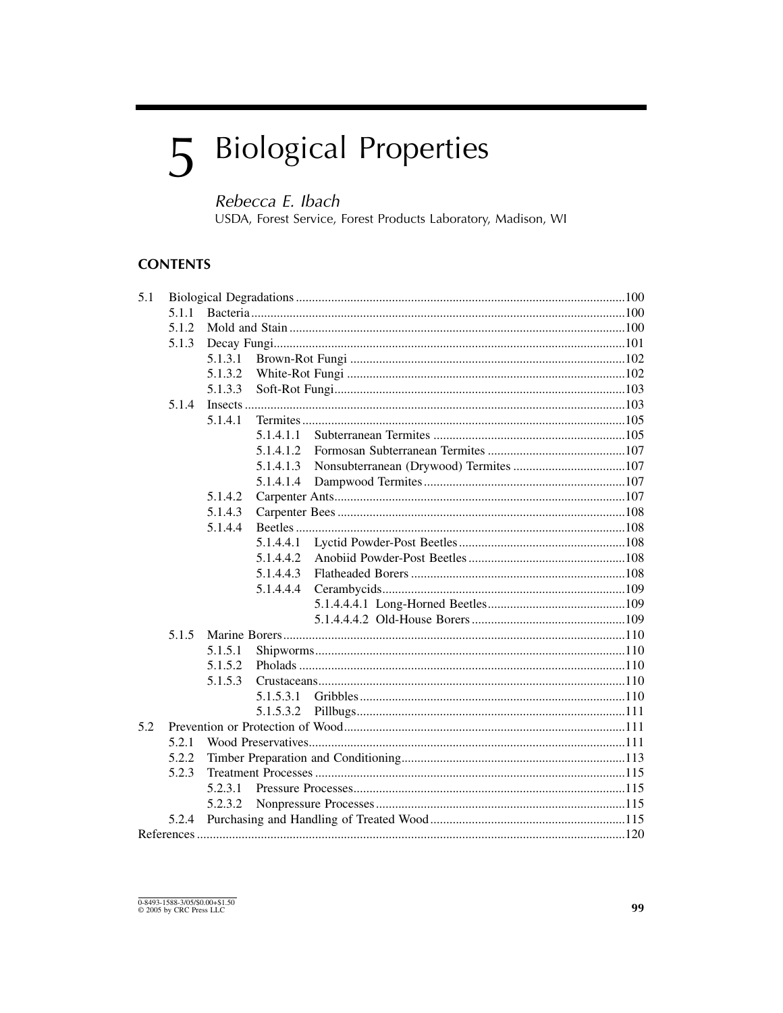#### **Biological Properties** 5

#### Rebecca E. Ibach

USDA, Forest Service, Forest Products Laboratory, Madison, WI

#### **CONTENTS**

| 5.1 |            |         |           |  |
|-----|------------|---------|-----------|--|
|     | 5.1.1      |         |           |  |
|     | 5.1.2      |         |           |  |
|     | 5.1.3      |         |           |  |
|     |            | 5.1.3.1 |           |  |
|     |            | 5.1.3.2 |           |  |
|     |            | 5.1.3.3 |           |  |
|     | 5.1.4      |         |           |  |
|     |            | 5.1.4.1 |           |  |
|     |            |         | 5.1.4.1.1 |  |
|     |            |         | 5.1.4.1.2 |  |
|     |            |         | 5.1.4.1.3 |  |
|     |            |         | 5.1.4.1.4 |  |
|     |            | 5.1.4.2 |           |  |
|     |            | 5.1.4.3 |           |  |
|     |            | 5.1.4.4 |           |  |
|     |            |         | 5.1.4.4.1 |  |
|     |            |         | 5.1.4.4.2 |  |
|     |            |         | 5.1.4.4.3 |  |
|     |            |         | 5.1.4.4.4 |  |
|     |            |         |           |  |
|     |            |         |           |  |
|     | 5.1.5      |         |           |  |
|     |            | 5.1.5.1 |           |  |
|     |            | 5.1.5.2 |           |  |
|     |            | 5.1.5.3 |           |  |
|     |            |         | 5.1.5.3.1 |  |
|     |            |         |           |  |
| 5.2 |            |         |           |  |
|     | 5.2.1      |         |           |  |
|     | 5.2.2      |         |           |  |
|     | 5.2.3      |         |           |  |
|     |            |         |           |  |
|     |            | 5.2.3.2 |           |  |
|     | 5.2.4      |         |           |  |
|     | References |         |           |  |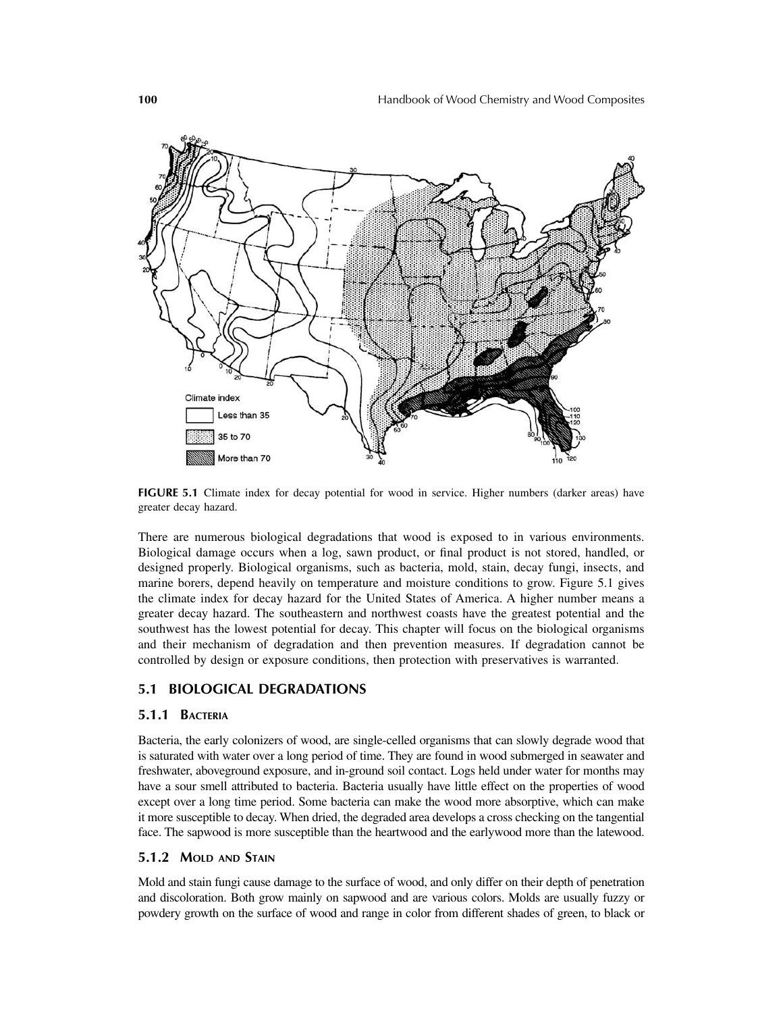

**FIGURE 5.1** Climate index for decay potential for wood in service. Higher numbers (darker areas) have greater decay hazard.

There are numerous biological degradations that wood is exposed to in various environments. Biological damage occurs when a log, sawn product, or final product is not stored, handled, or designed properly. Biological organisms, such as bacteria, mold, stain, decay fungi, insects, and marine borers, depend heavily on temperature and moisture conditions to grow. Figure 5.1 gives the climate index for decay hazard for the United States of America. A higher number means a greater decay hazard. The southeastern and northwest coasts have the greatest potential and the southwest has the lowest potential for decay. This chapter will focus on the biological organisms and their mechanism of degradation and then prevention measures. If degradation cannot be controlled by design or exposure conditions, then protection with preservatives is warranted.

#### **5.1 BIOLOGICAL DEGRADATIONS**

#### **5.1.1 BACTERIA**

Bacteria, the early colonizers of wood, are single-celled organisms that can slowly degrade wood that is saturated with water over a long period of time. They are found in wood submerged in seawater and freshwater, aboveground exposure, and in-ground soil contact. Logs held under water for months may have a sour smell attributed to bacteria. Bacteria usually have little effect on the properties of wood except over a long time period. Some bacteria can make the wood more absorptive, which can make it more susceptible to decay. When dried, the degraded area develops a cross checking on the tangential face. The sapwood is more susceptible than the heartwood and the earlywood more than the latewood.

#### **5.1.2 MOLD AND STAIN**

Mold and stain fungi cause damage to the surface of wood, and only differ on their depth of penetration and discoloration. Both grow mainly on sapwood and are various colors. Molds are usually fuzzy or powdery growth on the surface of wood and range in color from different shades of green, to black or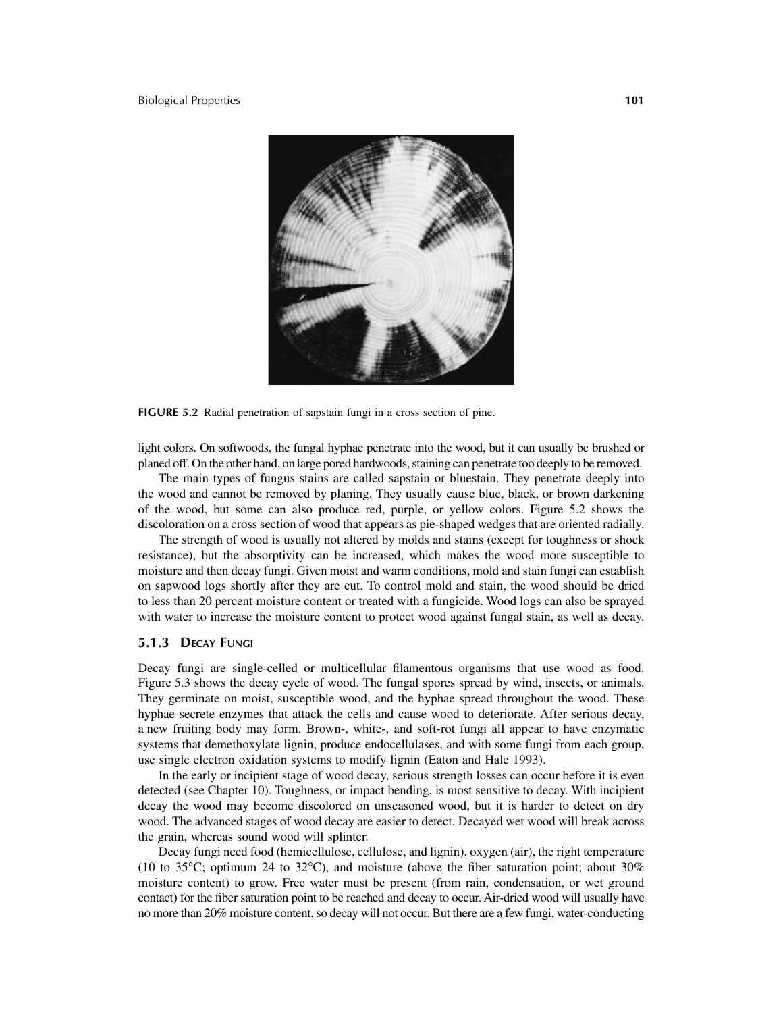Biological Properties **101** 



**FIGURE 5.2** Radial penetration of sapstain fungi in a cross section of pine.

light colors. On softwoods, the fungal hyphae penetrate into the wood, but it can usually be brushed or planed off. On the other hand, on large pored hardwoods, staining can penetrate too deeply to be removed.

The main types of fungus stains are called sapstain or bluestain. They penetrate deeply into the wood and cannot be removed by planing. They usually cause blue, black, or brown darkening of the wood, but some can also produce red, purple, or yellow colors. Figure 5.2 shows the discoloration on a cross section of wood that appears as pie-shaped wedges that are oriented radially.

The strength of wood is usually not altered by molds and stains (except for toughness or shock resistance), but the absorptivity can be increased, which makes the wood more susceptible to moisture and then decay fungi. Given moist and warm conditions, mold and stain fungi can establish on sapwood logs shortly after they are cut. To control mold and stain, the wood should be dried to less than 20 percent moisture content or treated with a fungicide. Wood logs can also be sprayed with water to increase the moisture content to protect wood against fungal stain, as well as decay.

#### **5.1.3 DECAY FUNGI**

Decay fungi are single-celled or multicellular filamentous organisms that use wood as food. Figure 5.3 shows the decay cycle of wood. The fungal spores spread by wind, insects, or animals. They germinate on moist, susceptible wood, and the hyphae spread throughout the wood. These hyphae secrete enzymes that attack the cells and cause wood to deteriorate. After serious decay, a new fruiting body may form. Brown-, white-, and soft-rot fungi all appear to have enzymatic systems that demethoxylate lignin, produce endocellulases, and with some fungi from each group, use single electron oxidation systems to modify lignin (Eaton and Hale 1993).

In the early or incipient stage of wood decay, serious strength losses can occur before it is even detected (see Chapter 10). Toughness, or impact bending, is most sensitive to decay. With incipient decay the wood may become discolored on unseasoned wood, but it is harder to detect on dry wood. The advanced stages of wood decay are easier to detect. Decayed wet wood will break across the grain, whereas sound wood will splinter.

Decay fungi need food (hemicellulose, cellulose, and lignin), oxygen (air), the right temperature (10 to 35 $\degree$ C; optimum 24 to 32 $\degree$ C), and moisture (above the fiber saturation point; about 30% moisture content) to grow. Free water must be present (from rain, condensation, or wet ground contact) for the fiber saturation point to be reached and decay to occur. Air-dried wood will usually have no more than 20% moisture content, so decay will not occur. But there are a few fungi, water-conducting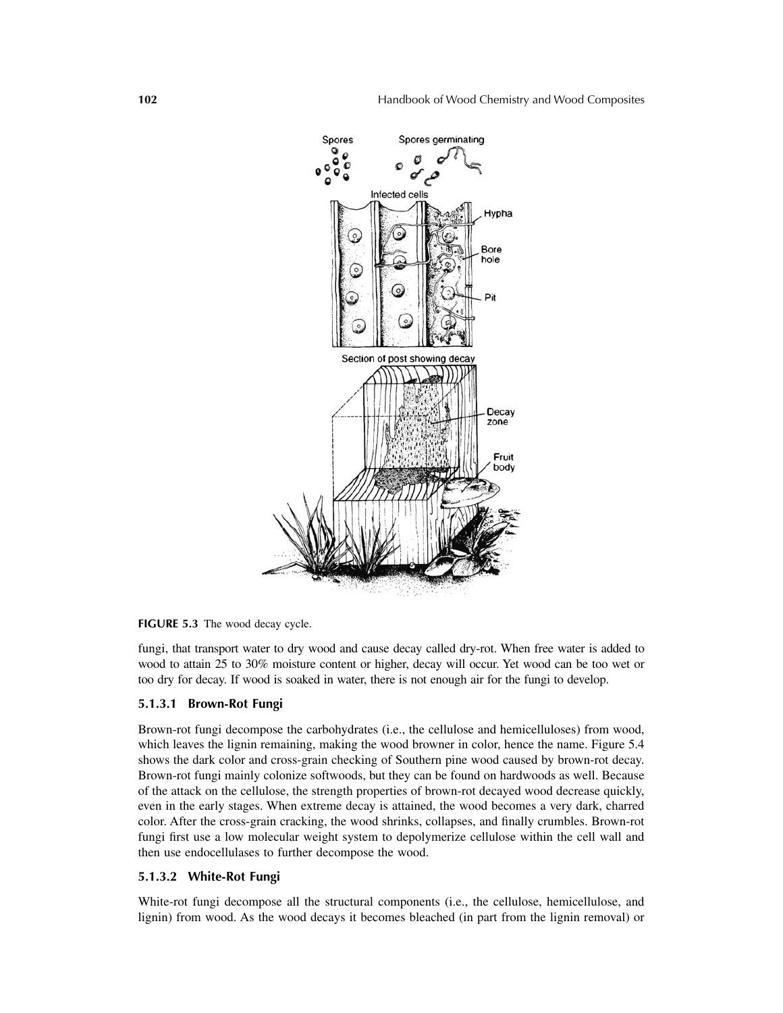

**FIGURE 5.3** The wood decay cycle.

fungi, that transport water to dry wood and cause decay called dry-rot. When free water is added to wood to attain 25 to 30% moisture content or higher, decay will occur. Yet wood can be too wet or too dry for decay. If wood is soaked in water, there is not enough air for the fungi to develop.

#### **5.1.3.1 Brown-Rot Fungi**

Brown-rot fungi decompose the carbohydrates (i.e., the cellulose and hemicelluloses) from wood, which leaves the lignin remaining, making the wood browner in color, hence the name. Figure 5.4 shows the dark color and cross-grain checking of Southern pine wood caused by brown-rot decay. Brown-rot fungi mainly colonize softwoods, but they can be found on hardwoods as well. Because of the attack on the cellulose, the strength properties of brown-rot decayed wood decrease quickly, even in the early stages. When extreme decay is attained, the wood becomes a very dark, charred color. After the cross-grain cracking, the wood shrinks, collapses, and finally crumbles. Brown-rot fungi first use a low molecular weight system to depolymerize cellulose within the cell wall and then use endocellulases to further decompose the wood.

#### **5.1.3.2 White-Rot Fungi**

White-rot fungi decompose all the structural components (i.e., the cellulose, hemicellulose, and lignin) from wood. As the wood decays it becomes bleached (in part from the lignin removal) or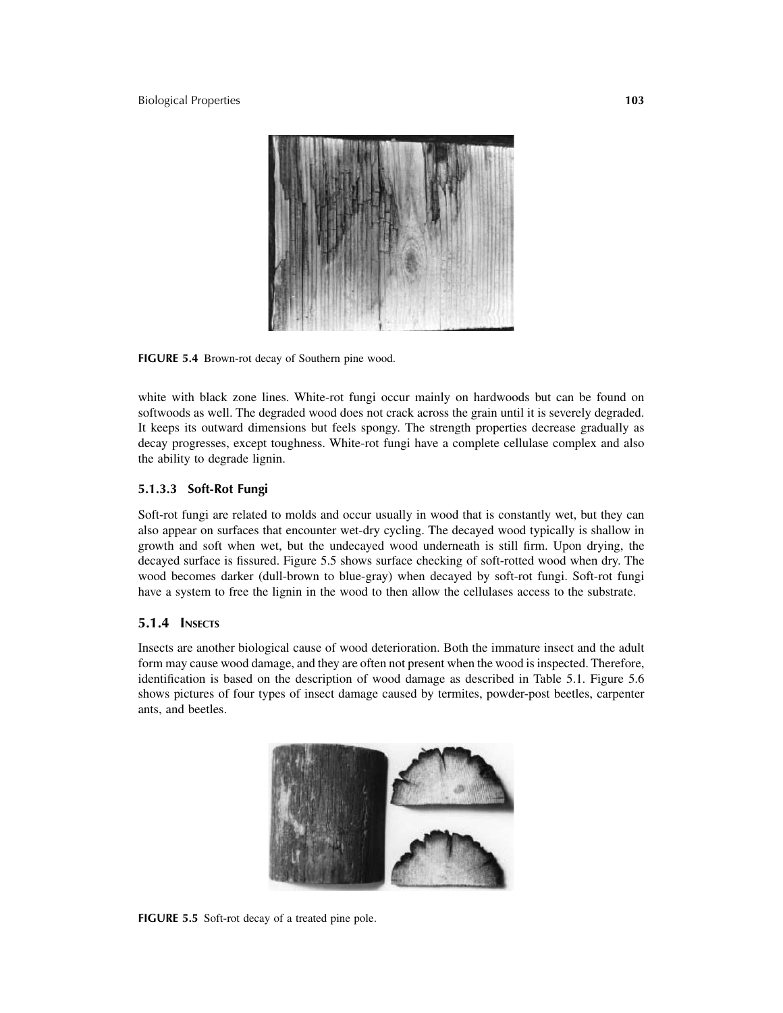Biological Properties **103** 



**FIGURE 5.4** Brown-rot decay of Southern pine wood.

white with black zone lines. White-rot fungi occur mainly on hardwoods but can be found on softwoods as well. The degraded wood does not crack across the grain until it is severely degraded. It keeps its outward dimensions but feels spongy. The strength properties decrease gradually as decay progresses, except toughness. White-rot fungi have a complete cellulase complex and also the ability to degrade lignin.

#### **5.1.3.3 Soft-Rot Fungi**

Soft-rot fungi are related to molds and occur usually in wood that is constantly wet, but they can also appear on surfaces that encounter wet-dry cycling. The decayed wood typically is shallow in growth and soft when wet, but the undecayed wood underneath is still firm. Upon drying, the decayed surface is fissured. Figure 5.5 shows surface checking of soft-rotted wood when dry. The wood becomes darker (dull-brown to blue-gray) when decayed by soft-rot fungi. Soft-rot fungi have a system to free the lignin in the wood to then allow the cellulases access to the substrate.

#### **5.1.4 INSECTS**

Insects are another biological cause of wood deterioration. Both the immature insect and the adult form may cause wood damage, and they are often not present when the wood is inspected. Therefore, identification is based on the description of wood damage as described in Table 5.1. Figure 5.6 shows pictures of four types of insect damage caused by termites, powder-post beetles, carpenter ants, and beetles.



**FIGURE 5.5** Soft-rot decay of a treated pine pole.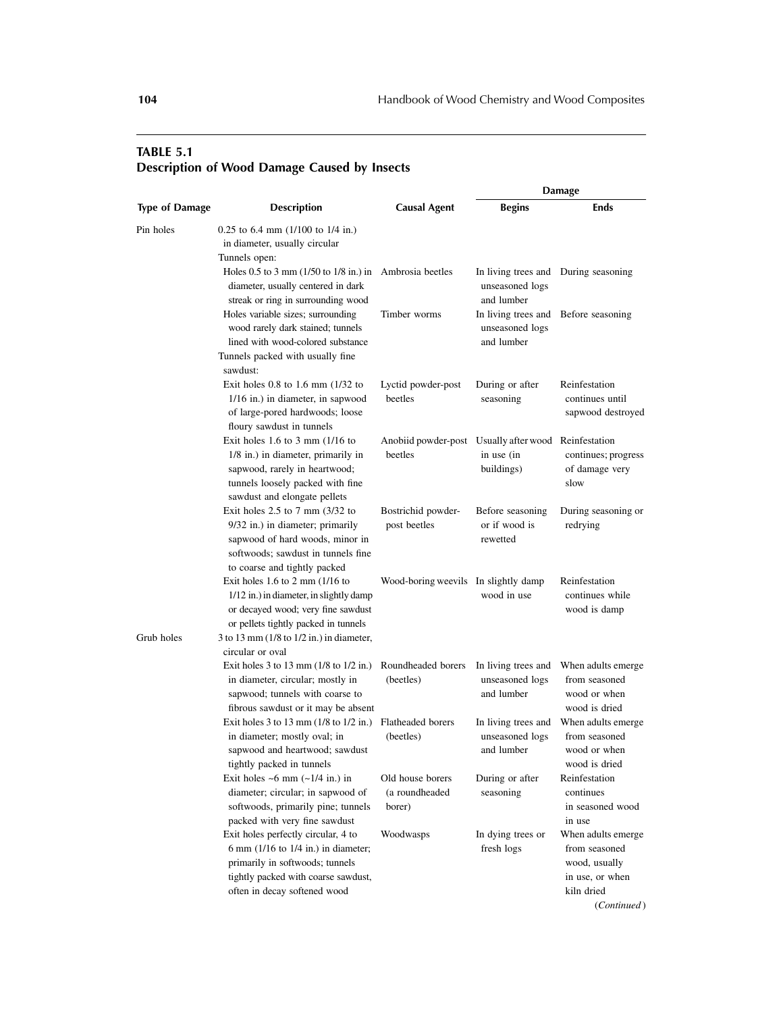#### **TABLE 5.1 Description of Wood Damage Caused by Insects**

|                       |                                                                                                                                                                                                                     |                                                                 |                                                                       | Damage                                                                                               |
|-----------------------|---------------------------------------------------------------------------------------------------------------------------------------------------------------------------------------------------------------------|-----------------------------------------------------------------|-----------------------------------------------------------------------|------------------------------------------------------------------------------------------------------|
| <b>Type of Damage</b> | <b>Description</b>                                                                                                                                                                                                  | <b>Causal Agent</b>                                             | <b>Begins</b>                                                         | Ends                                                                                                 |
| Pin holes             | $0.25$ to 6.4 mm $(1/100$ to $1/4$ in.)<br>in diameter, usually circular                                                                                                                                            |                                                                 |                                                                       |                                                                                                      |
|                       | Tunnels open:<br>Holes $0.5$ to $3 \text{ mm}$ (1/50 to 1/8 in.) in Ambrosia beetles<br>diameter, usually centered in dark<br>streak or ring in surrounding wood                                                    |                                                                 | In living trees and During seasoning<br>unseasoned logs<br>and lumber |                                                                                                      |
|                       | Holes variable sizes; surrounding<br>wood rarely dark stained; tunnels<br>lined with wood-colored substance<br>Tunnels packed with usually fine                                                                     | Timber worms                                                    | In living trees and Before seasoning<br>unseasoned logs<br>and lumber |                                                                                                      |
|                       | sawdust:<br>Exit holes $0.8$ to $1.6$ mm $(1/32$ to<br>1/16 in.) in diameter, in sapwood<br>of large-pored hardwoods; loose<br>floury sawdust in tunnels                                                            | Lyctid powder-post<br>beetles                                   | During or after<br>seasoning                                          | Reinfestation<br>continues until<br>sapwood destroyed                                                |
|                       | Exit holes $1.6$ to $3$ mm $(1/16$ to<br>1/8 in.) in diameter, primarily in<br>sapwood, rarely in heartwood;<br>tunnels loosely packed with fine<br>sawdust and elongate pellets                                    | Anobiid powder-post Usually after wood Reinfestation<br>beetles | in use (in<br>buildings)                                              | continues; progress<br>of damage very<br>slow                                                        |
|                       | Exit holes $2.5$ to $7 \text{ mm}$ ( $3/32$ to<br>9/32 in.) in diameter; primarily<br>sapwood of hard woods, minor in<br>softwoods: sawdust in tunnels fine<br>to coarse and tightly packed                         | Bostrichid powder-<br>post beetles                              | Before seasoning<br>or if wood is<br>rewetted                         | During seasoning or<br>redrying                                                                      |
| Grub holes            | Exit holes $1.6$ to $2 \text{ mm}$ ( $1/16$ to<br>1/12 in.) in diameter, in slightly damp<br>or decayed wood; very fine sawdust<br>or pellets tightly packed in tunnels<br>3 to 13 mm (1/8 to 1/2 in.) in diameter, | Wood-boring weevils In slightly damp                            | wood in use                                                           | Reinfestation<br>continues while<br>wood is damp                                                     |
|                       | circular or oval<br>Exit holes 3 to 13 mm $(1/8$ to $1/2$ in.)<br>in diameter, circular; mostly in<br>sapwood; tunnels with coarse to<br>fibrous sawdust or it may be absent                                        | Roundheaded borers<br>(beetles)                                 | In living trees and<br>unseasoned logs<br>and lumber                  | When adults emerge.<br>from seasoned<br>wood or when<br>wood is dried                                |
|                       | Exit holes 3 to 13 mm $(1/8$ to $1/2$ in.)<br>in diameter; mostly oval; in<br>sapwood and heartwood; sawdust<br>tightly packed in tunnels                                                                           | <b>Flatheaded</b> borers<br>(beetles)                           | In living trees and<br>unseasoned logs<br>and lumber                  | When adults emerge.<br>from seasoned<br>wood or when<br>wood is dried                                |
|                       | Exit holes $\sim 6$ mm ( $\sim 1/4$ in.) in<br>diameter; circular; in sapwood of<br>softwoods, primarily pine; tunnels<br>packed with very fine sawdust                                                             | Old house borers<br>(a roundheaded<br>borer)                    | During or after<br>seasoning                                          | Reinfestation<br>continues<br>in seasoned wood<br>in use                                             |
|                       | Exit holes perfectly circular, 4 to<br>$6$ mm $(1/16$ to $1/4$ in.) in diameter;<br>primarily in softwoods; tunnels<br>tightly packed with coarse sawdust,<br>often in decay softened wood                          | Woodwasps                                                       | In dying trees or<br>fresh logs                                       | When adults emerge<br>from seasoned<br>wood, usually<br>in use, or when<br>kiln dried<br>(Continued) |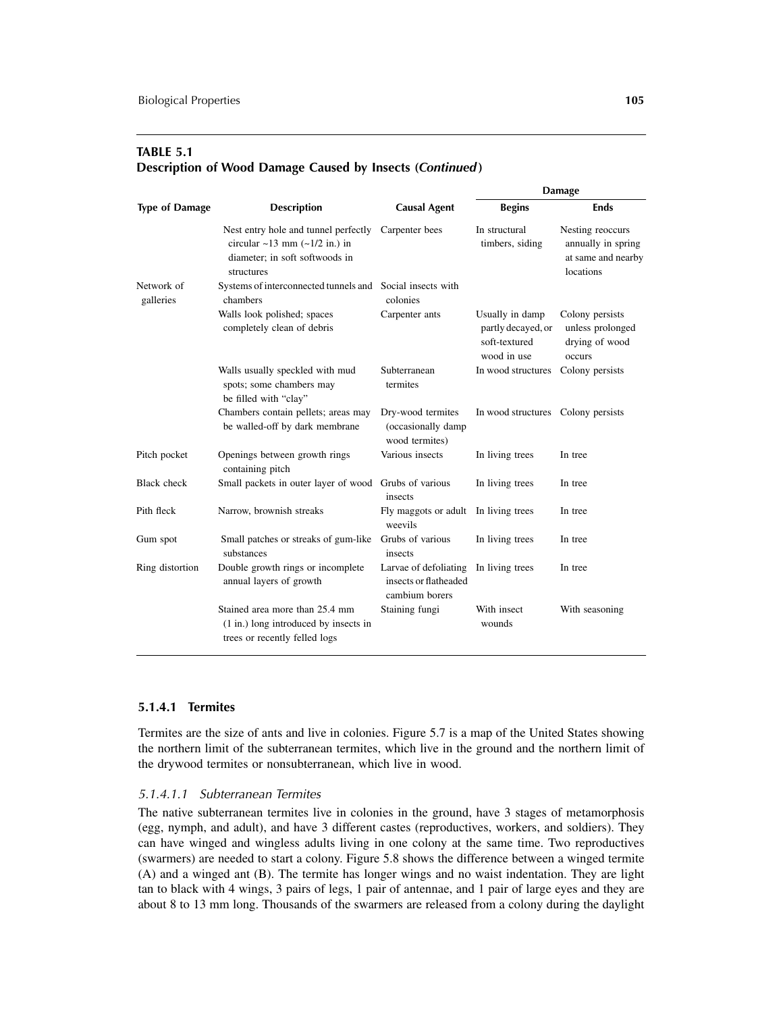#### **TABLE 5.1 Description of Wood Damage Caused by Insects (***Continued* **)**

|                         |                                                                                                                                    |                                                                  |                                                                       | <b>Damage</b>                                                             |
|-------------------------|------------------------------------------------------------------------------------------------------------------------------------|------------------------------------------------------------------|-----------------------------------------------------------------------|---------------------------------------------------------------------------|
| <b>Type of Damage</b>   | <b>Description</b>                                                                                                                 | <b>Causal Agent</b>                                              | <b>Begins</b>                                                         | <b>Ends</b>                                                               |
|                         | Nest entry hole and tunnel perfectly<br>circular $\sim$ 13 mm ( $\sim$ 1/2 in.) in<br>diameter; in soft softwoods in<br>structures | Carpenter bees                                                   | In structural<br>timbers, siding                                      | Nesting reoccurs<br>annually in spring<br>at same and nearby<br>locations |
| Network of<br>galleries | Systems of interconnected tunnels and Social insects with<br>chambers                                                              | colonies                                                         |                                                                       |                                                                           |
|                         | Walls look polished; spaces<br>completely clean of debris                                                                          | Carpenter ants                                                   | Usually in damp<br>partly decayed, or<br>soft-textured<br>wood in use | Colony persists<br>unless prolonged<br>drying of wood<br>occurs           |
|                         | Walls usually speckled with mud<br>spots; some chambers may<br>be filled with "clay"                                               | Subterranean<br>termites                                         | In wood structures                                                    | Colony persists                                                           |
|                         | Chambers contain pellets; areas may<br>be walled-off by dark membrane                                                              | Dry-wood termites<br>(occasionally damp<br>wood termites)        | In wood structures Colony persists                                    |                                                                           |
| Pitch pocket            | Openings between growth rings<br>containing pitch                                                                                  | Various insects                                                  | In living trees                                                       | In tree                                                                   |
| <b>Black</b> check      | Small packets in outer layer of wood Grubs of various                                                                              | insects                                                          | In living trees                                                       | In tree                                                                   |
| Pith fleck              | Narrow, brownish streaks                                                                                                           | Fly maggots or adult In living trees<br>weevils                  |                                                                       | In tree                                                                   |
| Gum spot                | Small patches or streaks of gum-like<br>substances                                                                                 | Grubs of various<br>insects                                      | In living trees                                                       | In tree                                                                   |
| Ring distortion         | Double growth rings or incomplete<br>annual layers of growth                                                                       | Larvae of defoliating<br>insects or flatheaded<br>cambium borers | In living trees                                                       | In tree                                                                   |
|                         | Stained area more than 25.4 mm<br>(1 in.) long introduced by insects in<br>trees or recently felled logs                           | Staining fungi                                                   | With insect<br>wounds                                                 | With seasoning                                                            |

#### **5.1.4.1 Termites**

Termites are the size of ants and live in colonies. Figure 5.7 is a map of the United States showing the northern limit of the subterranean termites, which live in the ground and the northern limit of the drywood termites or nonsubterranean, which live in wood.

#### 5.1.4.1.1 Subterranean Termites

The native subterranean termites live in colonies in the ground, have 3 stages of metamorphosis (egg, nymph, and adult), and have 3 different castes (reproductives, workers, and soldiers). They can have winged and wingless adults living in one colony at the same time. Two reproductives (swarmers) are needed to start a colony. Figure 5.8 shows the difference between a winged termite (A) and a winged ant (B). The termite has longer wings and no waist indentation. They are light tan to black with 4 wings, 3 pairs of legs, 1 pair of antennae, and 1 pair of large eyes and they are about 8 to 13 mm long. Thousands of the swarmers are released from a colony during the daylight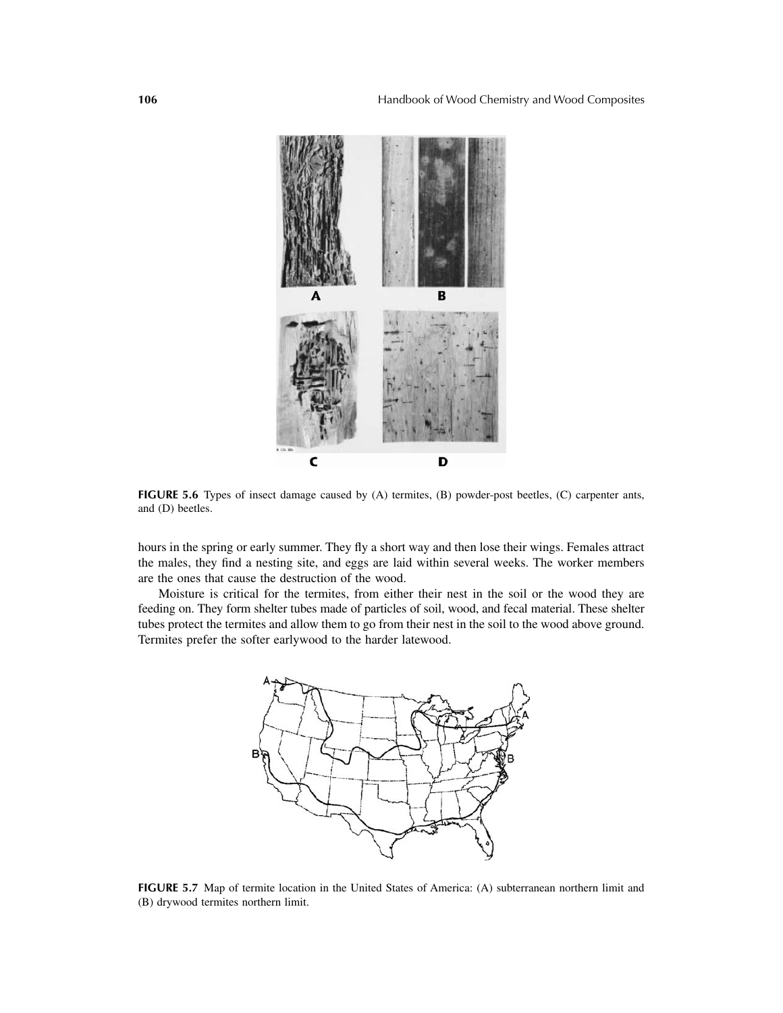

**FIGURE 5.6** Types of insect damage caused by (A) termites, (B) powder-post beetles, (C) carpenter ants, and (D) beetles.

hours in the spring or early summer. They fly a short way and then lose their wings. Females attract the males, they find a nesting site, and eggs are laid within several weeks. The worker members are the ones that cause the destruction of the wood.

Moisture is critical for the termites, from either their nest in the soil or the wood they are feeding on. They form shelter tubes made of particles of soil, wood, and fecal material. These shelter tubes protect the termites and allow them to go from their nest in the soil to the wood above ground. Termites prefer the softer earlywood to the harder latewood.



**FIGURE 5.7** Map of termite location in the United States of America: (A) subterranean northern limit and (B) drywood termites northern limit.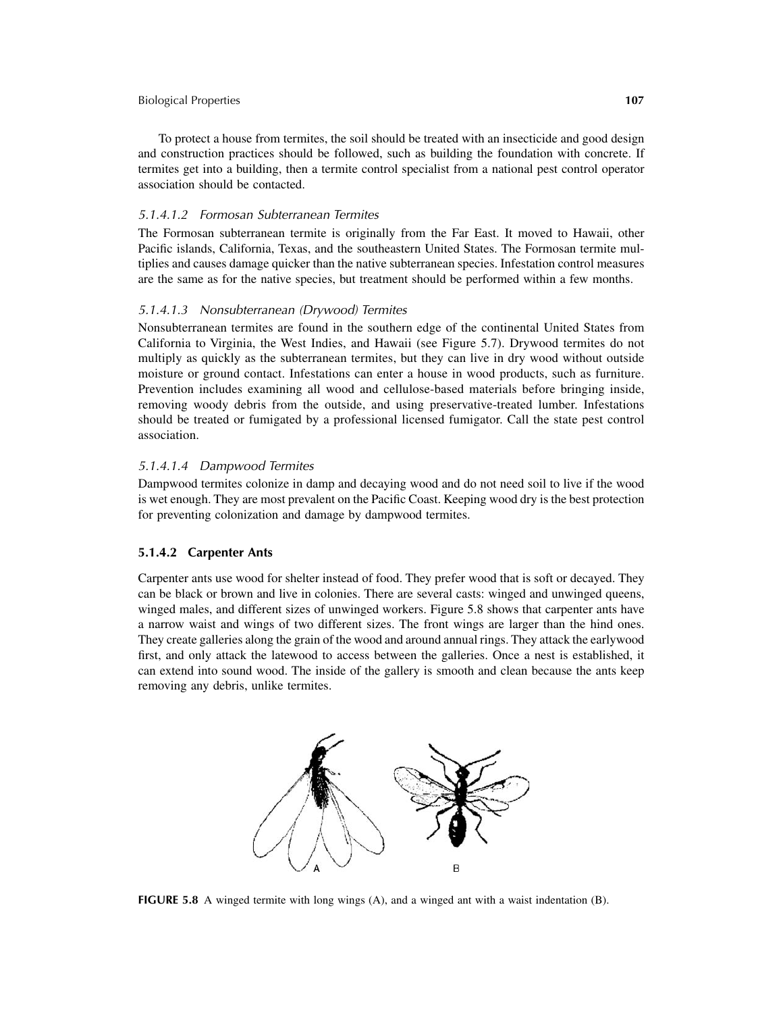#### Biological Properties **107**

To protect a house from termites, the soil should be treated with an insecticide and good design and construction practices should be followed, such as building the foundation with concrete. If termites get into a building, then a termite control specialist from a national pest control operator association should be contacted.

#### 5.1.4.1.2 Formosan Subterranean Termites

The Formosan subterranean termite is originally from the Far East. It moved to Hawaii, other Pacific islands, California, Texas, and the southeastern United States. The Formosan termite multiplies and causes damage quicker than the native subterranean species. Infestation control measures are the same as for the native species, but treatment should be performed within a few months.

#### 5.1.4.1.3 Nonsubterranean (Drywood) Termites

Nonsubterranean termites are found in the southern edge of the continental United States from California to Virginia, the West Indies, and Hawaii (see Figure 5.7). Drywood termites do not multiply as quickly as the subterranean termites, but they can live in dry wood without outside moisture or ground contact. Infestations can enter a house in wood products, such as furniture. Prevention includes examining all wood and cellulose-based materials before bringing inside, removing woody debris from the outside, and using preservative-treated lumber. Infestations should be treated or fumigated by a professional licensed fumigator. Call the state pest control association.

#### 5.1.4.1.4 Dampwood Termites

Dampwood termites colonize in damp and decaying wood and do not need soil to live if the wood is wet enough. They are most prevalent on the Pacific Coast. Keeping wood dry is the best protection for preventing colonization and damage by dampwood termites.

#### **5.1.4.2 Carpenter Ants**

Carpenter ants use wood for shelter instead of food. They prefer wood that is soft or decayed. They can be black or brown and live in colonies. There are several casts: winged and unwinged queens, winged males, and different sizes of unwinged workers. Figure 5.8 shows that carpenter ants have a narrow waist and wings of two different sizes. The front wings are larger than the hind ones. They create galleries along the grain of the wood and around annual rings. They attack the earlywood first, and only attack the latewood to access between the galleries. Once a nest is established, it can extend into sound wood. The inside of the gallery is smooth and clean because the ants keep removing any debris, unlike termites.



**FIGURE 5.8** A winged termite with long wings (A), and a winged ant with a waist indentation (B).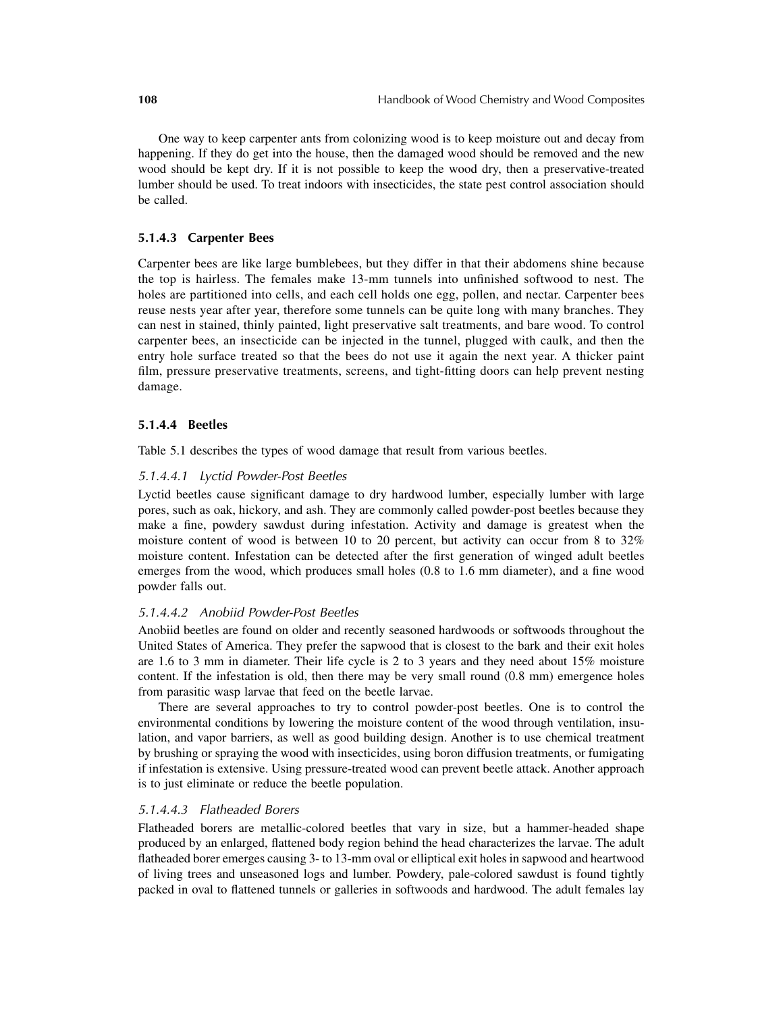One way to keep carpenter ants from colonizing wood is to keep moisture out and decay from happening. If they do get into the house, then the damaged wood should be removed and the new wood should be kept dry. If it is not possible to keep the wood dry, then a preservative-treated lumber should be used. To treat indoors with insecticides, the state pest control association should be called.

#### **5.1.4.3 Carpenter Bees**

Carpenter bees are like large bumblebees, but they differ in that their abdomens shine because the top is hairless. The females make 13-mm tunnels into unfinished softwood to nest. The holes are partitioned into cells, and each cell holds one egg, pollen, and nectar. Carpenter bees reuse nests year after year, therefore some tunnels can be quite long with many branches. They can nest in stained, thinly painted, light preservative salt treatments, and bare wood. To control carpenter bees, an insecticide can be injected in the tunnel, plugged with caulk, and then the entry hole surface treated so that the bees do not use it again the next year. A thicker paint film, pressure preservative treatments, screens, and tight-fitting doors can help prevent nesting damage.

#### **5.1.4.4 Beetles**

Table 5.1 describes the types of wood damage that result from various beetles.

#### 5.1.4.4.1 Lyctid Powder-Post Beetles

Lyctid beetles cause significant damage to dry hardwood lumber, especially lumber with large pores, such as oak, hickory, and ash. They are commonly called powder-post beetles because they make a fine, powdery sawdust during infestation. Activity and damage is greatest when the moisture content of wood is between 10 to 20 percent, but activity can occur from 8 to 32% moisture content. Infestation can be detected after the first generation of winged adult beetles emerges from the wood, which produces small holes (0.8 to 1.6 mm diameter), and a fine wood powder falls out.

#### 5.1.4.4.2 Anobiid Powder-Post Beetles

Anobiid beetles are found on older and recently seasoned hardwoods or softwoods throughout the United States of America. They prefer the sapwood that is closest to the bark and their exit holes are 1.6 to 3 mm in diameter. Their life cycle is 2 to 3 years and they need about 15% moisture content. If the infestation is old, then there may be very small round (0.8 mm) emergence holes from parasitic wasp larvae that feed on the beetle larvae.

There are several approaches to try to control powder-post beetles. One is to control the environmental conditions by lowering the moisture content of the wood through ventilation, insulation, and vapor barriers, as well as good building design. Another is to use chemical treatment by brushing or spraying the wood with insecticides, using boron diffusion treatments, or fumigating if infestation is extensive. Using pressure-treated wood can prevent beetle attack. Another approach is to just eliminate or reduce the beetle population.

#### 5.1.4.4.3 Flatheaded Borers

Flatheaded borers are metallic-colored beetles that vary in size, but a hammer-headed shape produced by an enlarged, flattened body region behind the head characterizes the larvae. The adult flatheaded borer emerges causing 3- to 13-mm oval or elliptical exit holes in sapwood and heartwood of living trees and unseasoned logs and lumber. Powdery, pale-colored sawdust is found tightly packed in oval to flattened tunnels or galleries in softwoods and hardwood. The adult females lay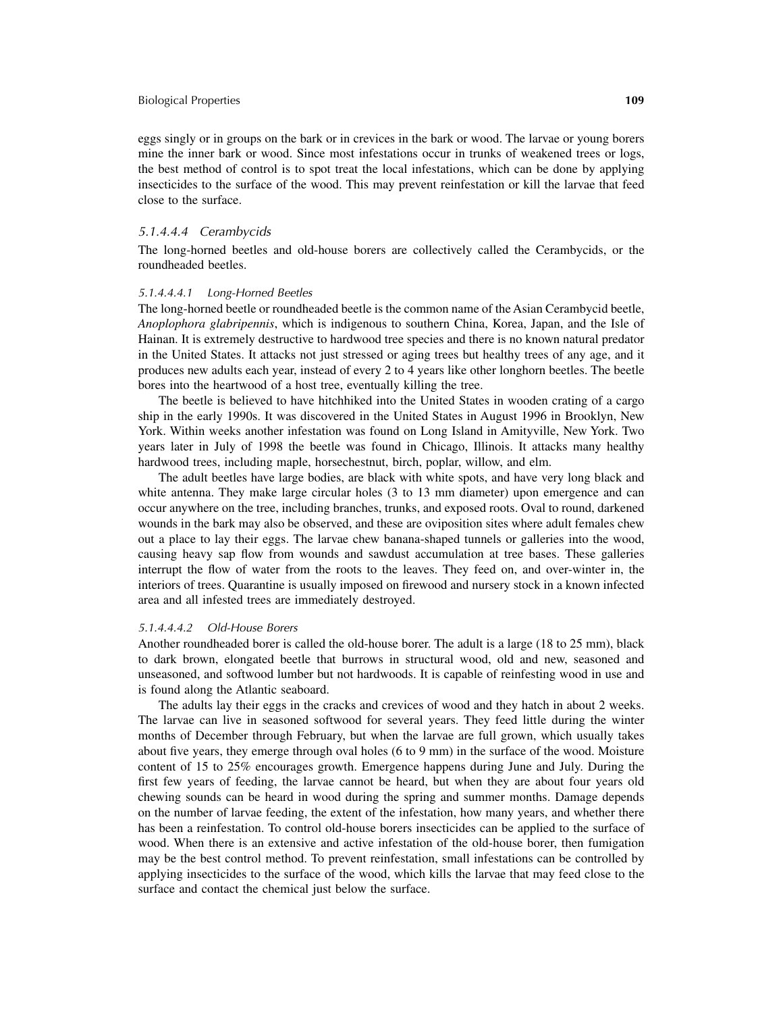eggs singly or in groups on the bark or in crevices in the bark or wood. The larvae or young borers mine the inner bark or wood. Since most infestations occur in trunks of weakened trees or logs, the best method of control is to spot treat the local infestations, which can be done by applying insecticides to the surface of the wood. This may prevent reinfestation or kill the larvae that feed close to the surface.

#### 5.1.4.4.4 Cerambycids

The long-horned beetles and old-house borers are collectively called the Cerambycids, or the roundheaded beetles.

#### 5.1.4.4.4.1 Long-Horned Beetles

The long-horned beetle or roundheaded beetle is the common name of the Asian Cerambycid beetle, *Anoplophora glabripennis*, which is indigenous to southern China, Korea, Japan, and the Isle of Hainan. It is extremely destructive to hardwood tree species and there is no known natural predator in the United States. It attacks not just stressed or aging trees but healthy trees of any age, and it produces new adults each year, instead of every 2 to 4 years like other longhorn beetles. The beetle bores into the heartwood of a host tree, eventually killing the tree.

The beetle is believed to have hitchhiked into the United States in wooden crating of a cargo ship in the early 1990s. It was discovered in the United States in August 1996 in Brooklyn, New York. Within weeks another infestation was found on Long Island in Amityville, New York. Two years later in July of 1998 the beetle was found in Chicago, Illinois. It attacks many healthy hardwood trees, including maple, horsechestnut, birch, poplar, willow, and elm.

The adult beetles have large bodies, are black with white spots, and have very long black and white antenna. They make large circular holes (3 to 13 mm diameter) upon emergence and can occur anywhere on the tree, including branches, trunks, and exposed roots. Oval to round, darkened wounds in the bark may also be observed, and these are oviposition sites where adult females chew out a place to lay their eggs. The larvae chew banana-shaped tunnels or galleries into the wood, causing heavy sap flow from wounds and sawdust accumulation at tree bases. These galleries interrupt the flow of water from the roots to the leaves. They feed on, and over-winter in, the interiors of trees. Quarantine is usually imposed on firewood and nursery stock in a known infected area and all infested trees are immediately destroyed.

#### 5.1.4.4.4.2 Old-House Borers

Another roundheaded borer is called the old-house borer. The adult is a large (18 to 25 mm), black to dark brown, elongated beetle that burrows in structural wood, old and new, seasoned and unseasoned, and softwood lumber but not hardwoods. It is capable of reinfesting wood in use and is found along the Atlantic seaboard.

The adults lay their eggs in the cracks and crevices of wood and they hatch in about 2 weeks. The larvae can live in seasoned softwood for several years. They feed little during the winter months of December through February, but when the larvae are full grown, which usually takes about five years, they emerge through oval holes (6 to 9 mm) in the surface of the wood. Moisture content of 15 to 25% encourages growth. Emergence happens during June and July. During the first few years of feeding, the larvae cannot be heard, but when they are about four years old chewing sounds can be heard in wood during the spring and summer months. Damage depends on the number of larvae feeding, the extent of the infestation, how many years, and whether there has been a reinfestation. To control old-house borers insecticides can be applied to the surface of wood. When there is an extensive and active infestation of the old-house borer, then fumigation may be the best control method. To prevent reinfestation, small infestations can be controlled by applying insecticides to the surface of the wood, which kills the larvae that may feed close to the surface and contact the chemical just below the surface.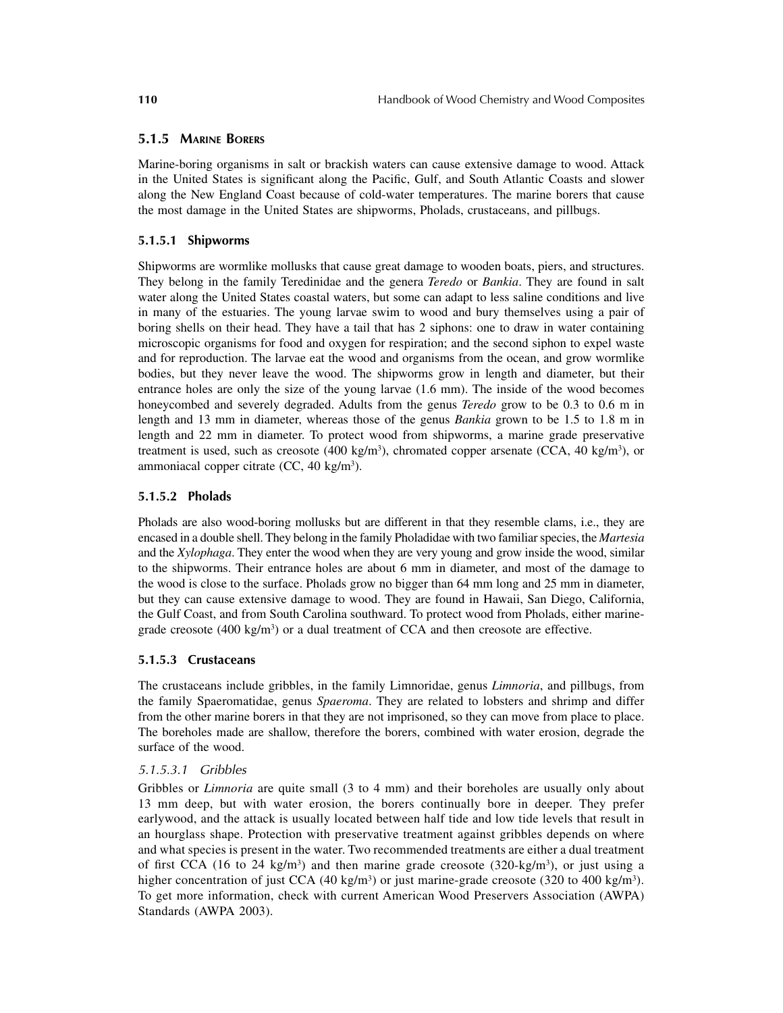#### **5.1.5 MARINE BORERS**

Marine-boring organisms in salt or brackish waters can cause extensive damage to wood. Attack in the United States is significant along the Pacific, Gulf, and South Atlantic Coasts and slower along the New England Coast because of cold-water temperatures. The marine borers that cause the most damage in the United States are shipworms, Pholads, crustaceans, and pillbugs.

#### **5.1.5.1 Shipworms**

Shipworms are wormlike mollusks that cause great damage to wooden boats, piers, and structures. They belong in the family Teredinidae and the genera *Teredo* or *Bankia*. They are found in salt water along the United States coastal waters, but some can adapt to less saline conditions and live in many of the estuaries. The young larvae swim to wood and bury themselves using a pair of boring shells on their head. They have a tail that has 2 siphons: one to draw in water containing microscopic organisms for food and oxygen for respiration; and the second siphon to expel waste and for reproduction. The larvae eat the wood and organisms from the ocean, and grow wormlike bodies, but they never leave the wood. The shipworms grow in length and diameter, but their entrance holes are only the size of the young larvae (1.6 mm). The inside of the wood becomes honeycombed and severely degraded. Adults from the genus *Teredo* grow to be 0.3 to 0.6 m in length and 13 mm in diameter, whereas those of the genus *Bankia* grown to be 1.5 to 1.8 m in length and 22 mm in diameter. To protect wood from shipworms, a marine grade preservative treatment is used, such as creosote  $(400 \text{ kg/m}^3)$ , chromated copper arsenate  $(CCA, 40 \text{ kg/m}^3)$ , or ammoniacal copper citrate  $(CC, 40 \text{ kg/m}^3)$ .

#### **5.1.5.2 Pholads**

Pholads are also wood-boring mollusks but are different in that they resemble clams, i.e., they are encased in a double shell. They belong in the family Pholadidae with two familiar species, the *Martesia*  and the *Xylophaga*. They enter the wood when they are very young and grow inside the wood, similar to the shipworms. Their entrance holes are about 6 mm in diameter, and most of the damage to the wood is close to the surface. Pholads grow no bigger than 64 mm long and 25 mm in diameter, but they can cause extensive damage to wood. They are found in Hawaii, San Diego, California, the Gulf Coast, and from South Carolina southward. To protect wood from Pholads, either marinegrade creosote  $(400 \text{ kg/m}^3)$  or a dual treatment of CCA and then creosote are effective.

#### **5.1.5.3 Crustaceans**

The crustaceans include gribbles, in the family Limnoridae, genus *Limnoria*, and pillbugs, from the family Spaeromatidae, genus *Spaeroma*. They are related to lobsters and shrimp and differ from the other marine borers in that they are not imprisoned, so they can move from place to place. The boreholes made are shallow, therefore the borers, combined with water erosion, degrade the surface of the wood.

#### 5.1.5.3.1 Gribbles

Gribbles or *Limnoria* are quite small (3 to 4 mm) and their boreholes are usually only about 13 mm deep, but with water erosion, the borers continually bore in deeper. They prefer earlywood, and the attack is usually located between half tide and low tide levels that result in an hourglass shape. Protection with preservative treatment against gribbles depends on where and what species is present in the water. Two recommended treatments are either a dual treatment of first CCA (16 to 24 kg/m<sup>3</sup>) and then marine grade creosote (320-kg/m<sup>3</sup>), or just using a higher concentration of just CCA (40 kg/m<sup>3</sup>) or just marine-grade creosote (320 to 400 kg/m<sup>3</sup>). To get more information, check with current American Wood Preservers Association (AWPA) Standards (AWPA 2003).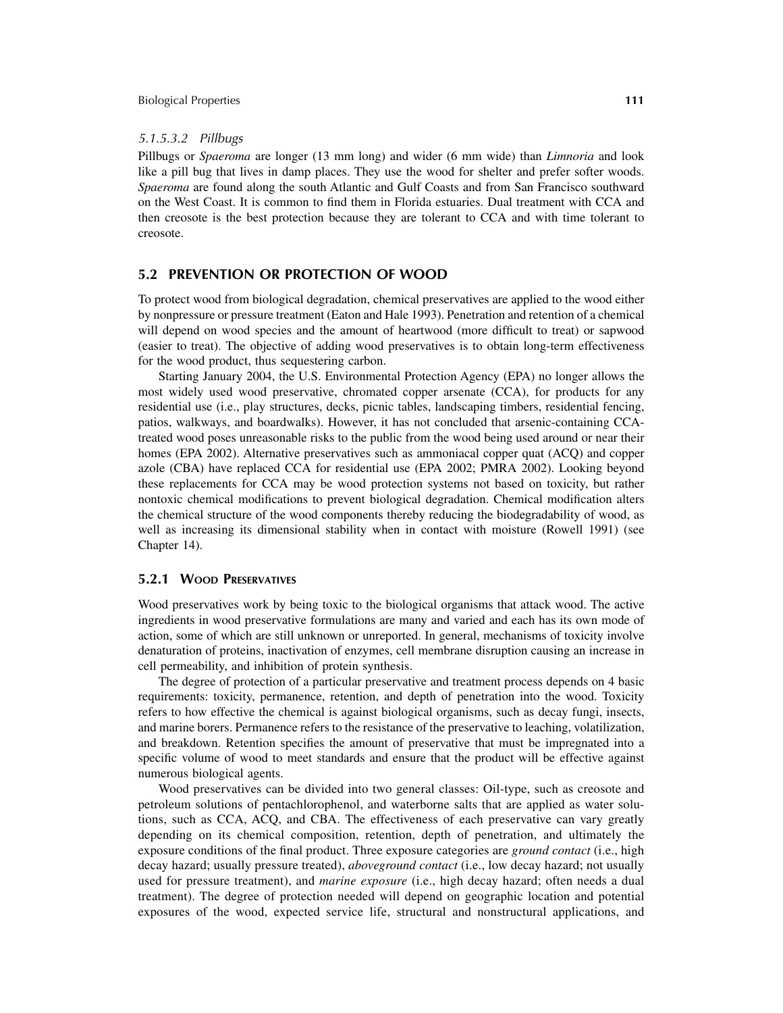#### 5.1.5.3.2 Pillbugs

Pillbugs or *Spaeroma* are longer (13 mm long) and wider (6 mm wide) than *Limnoria* and look like a pill bug that lives in damp places. They use the wood for shelter and prefer softer woods. *Spaeroma* are found along the south Atlantic and Gulf Coasts and from San Francisco southward on the West Coast. It is common to find them in Florida estuaries. Dual treatment with CCA and then creosote is the best protection because they are tolerant to CCA and with time tolerant to creosote.

#### **5.2 PREVENTION OR PROTECTION OF WOOD**

To protect wood from biological degradation, chemical preservatives are applied to the wood either by nonpressure or pressure treatment (Eaton and Hale 1993). Penetration and retention of a chemical will depend on wood species and the amount of heartwood (more difficult to treat) or sapwood (easier to treat). The objective of adding wood preservatives is to obtain long-term effectiveness for the wood product, thus sequestering carbon.

Starting January 2004, the U.S. Environmental Protection Agency (EPA) no longer allows the most widely used wood preservative, chromated copper arsenate (CCA), for products for any residential use (i.e., play structures, decks, picnic tables, landscaping timbers, residential fencing, patios, walkways, and boardwalks). However, it has not concluded that arsenic-containing CCAtreated wood poses unreasonable risks to the public from the wood being used around or near their homes (EPA 2002). Alternative preservatives such as ammoniacal copper quat (ACQ) and copper azole (CBA) have replaced CCA for residential use (EPA 2002; PMRA 2002). Looking beyond these replacements for CCA may be wood protection systems not based on toxicity, but rather nontoxic chemical modifications to prevent biological degradation. Chemical modification alters the chemical structure of the wood components thereby reducing the biodegradability of wood, as well as increasing its dimensional stability when in contact with moisture (Rowell 1991) (see Chapter 14).

#### **5.2.1 WOOD PRESERVATIVES**

Wood preservatives work by being toxic to the biological organisms that attack wood. The active ingredients in wood preservative formulations are many and varied and each has its own mode of action, some of which are still unknown or unreported. In general, mechanisms of toxicity involve denaturation of proteins, inactivation of enzymes, cell membrane disruption causing an increase in cell permeability, and inhibition of protein synthesis.

The degree of protection of a particular preservative and treatment process depends on 4 basic requirements: toxicity, permanence, retention, and depth of penetration into the wood. Toxicity refers to how effective the chemical is against biological organisms, such as decay fungi, insects, and marine borers. Permanence refers to the resistance of the preservative to leaching, volatilization, and breakdown. Retention specifies the amount of preservative that must be impregnated into a specific volume of wood to meet standards and ensure that the product will be effective against numerous biological agents.

Wood preservatives can be divided into two general classes: Oil-type, such as creosote and petroleum solutions of pentachlorophenol, and waterborne salts that are applied as water solutions, such as CCA, ACQ, and CBA. The effectiveness of each preservative can vary greatly depending on its chemical composition, retention, depth of penetration, and ultimately the exposure conditions of the final product. Three exposure categories are *ground contact* (i.e., high decay hazard; usually pressure treated), *aboveground contact* (i.e., low decay hazard; not usually used for pressure treatment), and *marine exposure* (i.e., high decay hazard; often needs a dual treatment). The degree of protection needed will depend on geographic location and potential exposures of the wood, expected service life, structural and nonstructural applications, and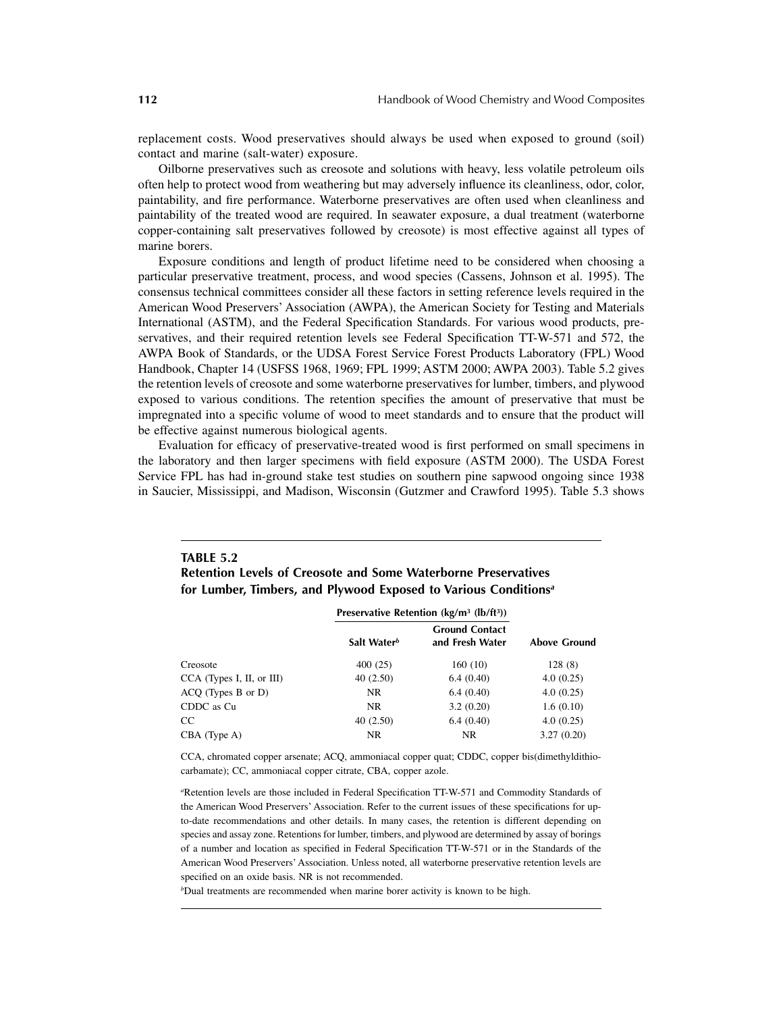replacement costs. Wood preservatives should always be used when exposed to ground (soil) contact and marine (salt-water) exposure.

Oilborne preservatives such as creosote and solutions with heavy, less volatile petroleum oils often help to protect wood from weathering but may adversely influence its cleanliness, odor, color, paintability, and fire performance. Waterborne preservatives are often used when cleanliness and paintability of the treated wood are required. In seawater exposure, a dual treatment (waterborne copper-containing salt preservatives followed by creosote) is most effective against all types of marine borers.

Exposure conditions and length of product lifetime need to be considered when choosing a particular preservative treatment, process, and wood species (Cassens, Johnson et al. 1995). The consensus technical committees consider all these factors in setting reference levels required in the American Wood Preservers' Association (AWPA), the American Society for Testing and Materials International (ASTM), and the Federal Specification Standards. For various wood products, preservatives, and their required retention levels see Federal Specification TT-W-571 and 572, the AWPA Book of Standards, or the UDSA Forest Service Forest Products Laboratory (FPL) Wood Handbook, Chapter 14 (USFSS 1968, 1969; FPL 1999; ASTM 2000; AWPA 2003). Table 5.2 gives the retention levels of creosote and some waterborne preservatives for lumber, timbers, and plywood exposed to various conditions. The retention specifies the amount of preservative that must be impregnated into a specific volume of wood to meet standards and to ensure that the product will be effective against numerous biological agents.

Evaluation for efficacy of preservative-treated wood is first performed on small specimens in the laboratory and then larger specimens with field exposure (ASTM 2000). The USDA Forest Service FPL has had in-ground stake test studies on southern pine sapwood ongoing since 1938 in Saucier, Mississippi, and Madison, Wisconsin (Gutzmer and Crawford 1995). Table 5.3 shows

#### **TABLE 5.2**

#### **Retention Levels of Creosote and Some Waterborne Preservatives for Lumber, Timbers, and Plywood Exposed to Various Conditions***<sup>a</sup>*

|                             |                         | Preservative Retention ( $kg/m^3$ ( $lb/ft^3$ )) |              |
|-----------------------------|-------------------------|--------------------------------------------------|--------------|
|                             | Salt Water <sup>b</sup> | <b>Ground Contact</b><br>and Fresh Water         | Above Ground |
| Creosote                    | 400(25)                 | 160(10)                                          | 128(8)       |
| $CCA$ (Types I, II, or III) | 40(2.50)                | 6.4(0.40)                                        | 4.0(0.25)    |
| $ACQ$ (Types B or D)        | NR.                     | 6.4(0.40)                                        | 4.0(0.25)    |
| CDDC as Cu                  | NR.                     | 3.2(0.20)                                        | 1.6(0.10)    |
| <sub>CC</sub>               | 40(2.50)                | 6.4(0.40)                                        | 4.0(0.25)    |
| $CBA$ (Type A)              | <b>NR</b>               | NR                                               | 3.27(0.20)   |

CCA, chromated copper arsenate; ACQ, ammoniacal copper quat; CDDC, copper bis(dimethyldithiocarbamate); CC, ammoniacal copper citrate, CBA, copper azole.

*<sup>a</sup>*Retention levels are those included in Federal Specification TT-W-571 and Commodity Standards of the American Wood Preservers' Association. Refer to the current issues of these specifications for upto-date recommendations and other details. In many cases, the retention is different depending on species and assay zone. Retentions for lumber, timbers, and plywood are determined by assay of borings of a number and location as specified in Federal Specification TT-W-571 or in the Standards of the American Wood Preservers' Association. Unless noted, all waterborne preservative retention levels are specified on an oxide basis. NR is not recommended.

*b*Dual treatments are recommended when marine borer activity is known to be high.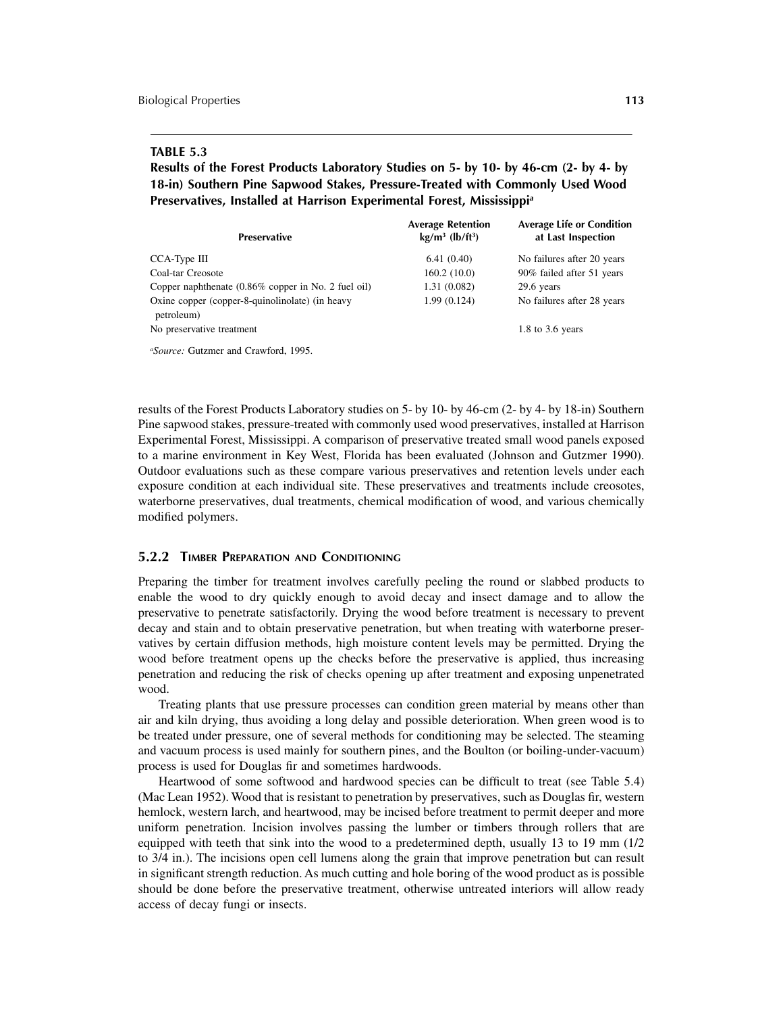#### **TABLE 5.3**

**Results of the Forest Products Laboratory Studies on 5- by 10- by 46-cm (2- by 4- by 18-in) Southern Pine Sapwood Stakes, Pressure-Treated with Commonly Used Wood Preservatives, Installed at Harrison Experimental Forest, Mississippi***<sup>a</sup>*

| <b>Preservative</b>                                           | <b>Average Retention</b><br>$kg/m^3$ (lb/ft <sup>3</sup> ) | <b>Average Life or Condition</b><br>at Last Inspection |
|---------------------------------------------------------------|------------------------------------------------------------|--------------------------------------------------------|
| CCA-Type III                                                  | 6.41(0.40)                                                 | No failures after 20 years                             |
| Coal-tar Creosote                                             | 160.2(10.0)                                                | 90% failed after 51 years                              |
| Copper naphthenate (0.86% copper in No. 2 fuel oil)           | 1.31(0.082)                                                | 29.6 years                                             |
| Oxine copper (copper-8-quinolinolate) (in heavy<br>petroleum) | 1.99(0.124)                                                | No failures after 28 years                             |
| No preservative treatment                                     |                                                            | 1.8 to 3.6 years                                       |
| "Source: Gutzmer and Crawford, 1995.                          |                                                            |                                                        |

results of the Forest Products Laboratory studies on 5- by 10- by 46-cm (2- by 4- by 18-in) Southern Pine sapwood stakes, pressure-treated with commonly used wood preservatives, installed at Harrison Experimental Forest, Mississippi. A comparison of preservative treated small wood panels exposed to a marine environment in Key West, Florida has been evaluated (Johnson and Gutzmer 1990). Outdoor evaluations such as these compare various preservatives and retention levels under each exposure condition at each individual site. These preservatives and treatments include creosotes, waterborne preservatives, dual treatments, chemical modification of wood, and various chemically modified polymers.

#### **5.2.2 TIMBER PREPARATION AND CONDITIONING**

Preparing the timber for treatment involves carefully peeling the round or slabbed products to enable the wood to dry quickly enough to avoid decay and insect damage and to allow the preservative to penetrate satisfactorily. Drying the wood before treatment is necessary to prevent decay and stain and to obtain preservative penetration, but when treating with waterborne preservatives by certain diffusion methods, high moisture content levels may be permitted. Drying the wood before treatment opens up the checks before the preservative is applied, thus increasing penetration and reducing the risk of checks opening up after treatment and exposing unpenetrated wood.

Treating plants that use pressure processes can condition green material by means other than air and kiln drying, thus avoiding a long delay and possible deterioration. When green wood is to be treated under pressure, one of several methods for conditioning may be selected. The steaming and vacuum process is used mainly for southern pines, and the Boulton (or boiling-under-vacuum) process is used for Douglas fir and sometimes hardwoods.

Heartwood of some softwood and hardwood species can be difficult to treat (see Table 5.4) (Mac Lean 1952). Wood that is resistant to penetration by preservatives, such as Douglas fir, western hemlock, western larch, and heartwood, may be incised before treatment to permit deeper and more uniform penetration. Incision involves passing the lumber or timbers through rollers that are equipped with teeth that sink into the wood to a predetermined depth, usually 13 to 19 mm (1/2 to 3/4 in.). The incisions open cell lumens along the grain that improve penetration but can result in significant strength reduction. As much cutting and hole boring of the wood product as is possible should be done before the preservative treatment, otherwise untreated interiors will allow ready access of decay fungi or insects.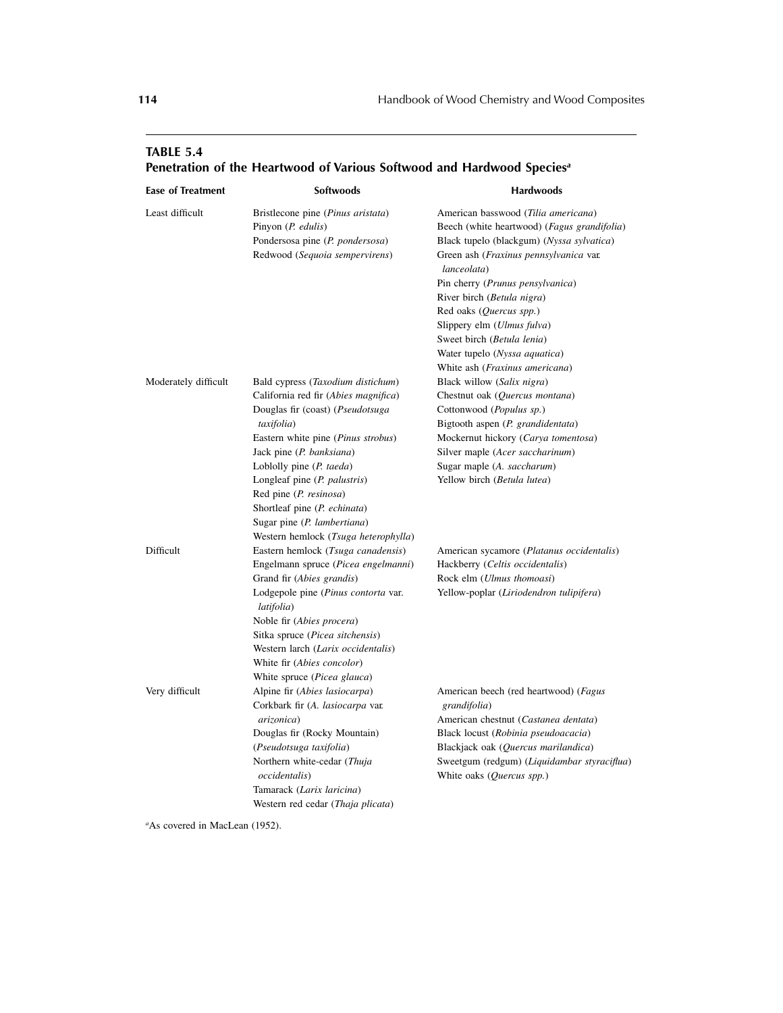| <b>Ease of Treatment</b> | Softwoods                                         | Hardwoods                                             |
|--------------------------|---------------------------------------------------|-------------------------------------------------------|
| Least difficult          | Bristlecone pine (Pinus aristata)                 | American basswood (Tilia americana)                   |
|                          | Pinyon (P. edulis)                                | Beech (white heartwood) (Fagus grandifolia)           |
|                          | Pondersosa pine (P. pondersosa)                   | Black tupelo (blackgum) (Nyssa sylvatica)             |
|                          | Redwood (Sequoia sempervirens)                    | Green ash (Fraxinus pennsylvanica var.<br>lanceolata) |
|                          |                                                   | Pin cherry ( <i>Prunus pensylvanica</i> )             |
|                          |                                                   | River birch (Betula nigra)                            |
|                          |                                                   | Red oaks (Quercus spp.)                               |
|                          |                                                   | Slippery elm (Ulmus fulva)                            |
|                          |                                                   | Sweet birch (Betula lenia)                            |
|                          |                                                   | Water tupelo (Nyssa aquatica)                         |
|                          |                                                   | White ash (Fraxinus americana)                        |
| Moderately difficult     | Bald cypress (Taxodium distichum)                 | Black willow (Salix nigra)                            |
|                          | California red fir (Abies magnifica)              | Chestnut oak (Quercus montana)                        |
|                          | Douglas fir (coast) (Pseudotsuga                  | Cottonwood (Populus sp.)                              |
|                          | taxifolia)                                        | Bigtooth aspen (P. grandidentata)                     |
|                          | Eastern white pine (Pinus strobus)                | Mockernut hickory (Carya tomentosa)                   |
|                          | Jack pine (P. banksiana)                          | Silver maple (Acer saccharinum)                       |
|                          | Loblolly pine (P. taeda)                          | Sugar maple (A. saccharum)                            |
|                          | Longleaf pine (P. palustris)                      | Yellow birch (Betula lutea)                           |
|                          | Red pine (P. resinosa)                            |                                                       |
|                          | Shortleaf pine (P. echinata)                      |                                                       |
|                          | Sugar pine (P. lambertiana)                       |                                                       |
|                          | Western hemlock (Tsuga heterophylla)              |                                                       |
| Difficult                | Eastern hemlock (Tsuga canadensis)                | American sycamore (Platanus occidentalis)             |
|                          | Engelmann spruce (Picea engelmanni)               | Hackberry (Celtis occidentalis)                       |
|                          | Grand fir (Abies grandis)                         | Rock elm (Ulmus thomoasi)                             |
|                          | Lodgepole pine (Pinus contorta var.<br>latifolia) | Yellow-poplar (Liriodendron tulipifera)               |
|                          | Noble fir (Abies procera)                         |                                                       |
|                          | Sitka spruce (Picea sitchensis)                   |                                                       |
|                          | Western larch (Larix occidentalis)                |                                                       |
|                          | White fir (Abies concolor)                        |                                                       |
|                          | White spruce (Picea glauca)                       |                                                       |
| Very difficult           | Alpine fir (Abies lasiocarpa)                     | American beech (red heartwood) (Fagus                 |
|                          | Corkbark fir (A. lasiocarpa var.                  | grandifolia)                                          |
|                          | arizonica)                                        | American chestnut (Castanea dentata)                  |
|                          | Douglas fir (Rocky Mountain)                      | Black locust (Robinia pseudoacacia)                   |
|                          | (Pseudotsuga taxifolia)                           | Blackjack oak (Quercus marilandica)                   |
|                          | Northern white-cedar (Thuja                       | Sweetgum (redgum) (Liquidambar styraciflua)           |
|                          | <i>occidentalis</i> )                             | White oaks (Quercus spp.)                             |
|                          | Tamarack (Larix laricina)                         |                                                       |
|                          | Western red cedar (Thaja plicata)                 |                                                       |

#### **TABLE 5.4 Penetration of the Heartwood of Various Softwood and Hardwood Species***<sup>a</sup>*

*a*As covered in MacLean (1952).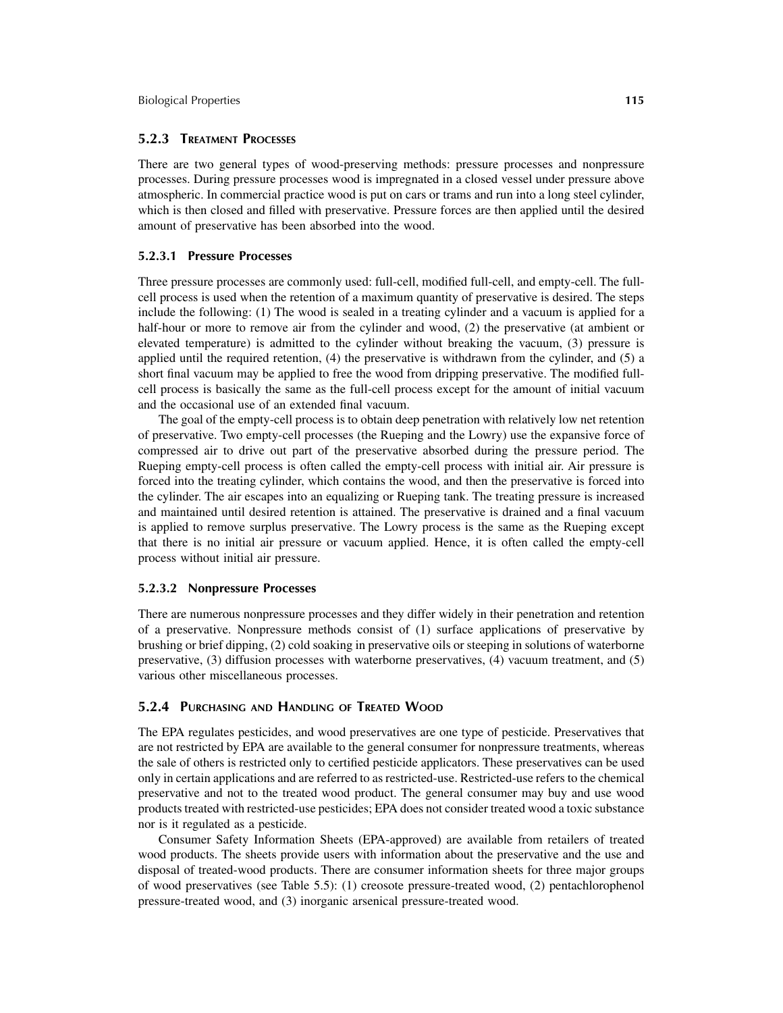#### **5.2.3 TREATMENT PROCESSES**

There are two general types of wood-preserving methods: pressure processes and nonpressure processes. During pressure processes wood is impregnated in a closed vessel under pressure above atmospheric. In commercial practice wood is put on cars or trams and run into a long steel cylinder, which is then closed and filled with preservative. Pressure forces are then applied until the desired amount of preservative has been absorbed into the wood.

#### **5.2.3.1 Pressure Processes**

Three pressure processes are commonly used: full-cell, modified full-cell, and empty-cell. The fullcell process is used when the retention of a maximum quantity of preservative is desired. The steps include the following: (1) The wood is sealed in a treating cylinder and a vacuum is applied for a half-hour or more to remove air from the cylinder and wood, (2) the preservative (at ambient or elevated temperature) is admitted to the cylinder without breaking the vacuum, (3) pressure is applied until the required retention, (4) the preservative is withdrawn from the cylinder, and (5) a short final vacuum may be applied to free the wood from dripping preservative. The modified fullcell process is basically the same as the full-cell process except for the amount of initial vacuum and the occasional use of an extended final vacuum.

The goal of the empty-cell process is to obtain deep penetration with relatively low net retention of preservative. Two empty-cell processes (the Rueping and the Lowry) use the expansive force of compressed air to drive out part of the preservative absorbed during the pressure period. The Rueping empty-cell process is often called the empty-cell process with initial air. Air pressure is forced into the treating cylinder, which contains the wood, and then the preservative is forced into the cylinder. The air escapes into an equalizing or Rueping tank. The treating pressure is increased and maintained until desired retention is attained. The preservative is drained and a final vacuum is applied to remove surplus preservative. The Lowry process is the same as the Rueping except that there is no initial air pressure or vacuum applied. Hence, it is often called the empty-cell process without initial air pressure.

#### **5.2.3.2 Nonpressure Processes**

There are numerous nonpressure processes and they differ widely in their penetration and retention of a preservative. Nonpressure methods consist of (1) surface applications of preservative by brushing or brief dipping, (2) cold soaking in preservative oils or steeping in solutions of waterborne preservative, (3) diffusion processes with waterborne preservatives, (4) vacuum treatment, and (5) various other miscellaneous processes.

#### **5.2.4 PURCHASING AND HANDLING OF TREATED WOOD**

The EPA regulates pesticides, and wood preservatives are one type of pesticide. Preservatives that are not restricted by EPA are available to the general consumer for nonpressure treatments, whereas the sale of others is restricted only to certified pesticide applicators. These preservatives can be used only in certain applications and are referred to as restricted-use. Restricted-use refers to the chemical preservative and not to the treated wood product. The general consumer may buy and use wood products treated with restricted-use pesticides; EPA does not consider treated wood a toxic substance nor is it regulated as a pesticide.

Consumer Safety Information Sheets (EPA-approved) are available from retailers of treated wood products. The sheets provide users with information about the preservative and the use and disposal of treated-wood products. There are consumer information sheets for three major groups of wood preservatives (see Table 5.5): (1) creosote pressure-treated wood, (2) pentachlorophenol pressure-treated wood, and (3) inorganic arsenical pressure-treated wood.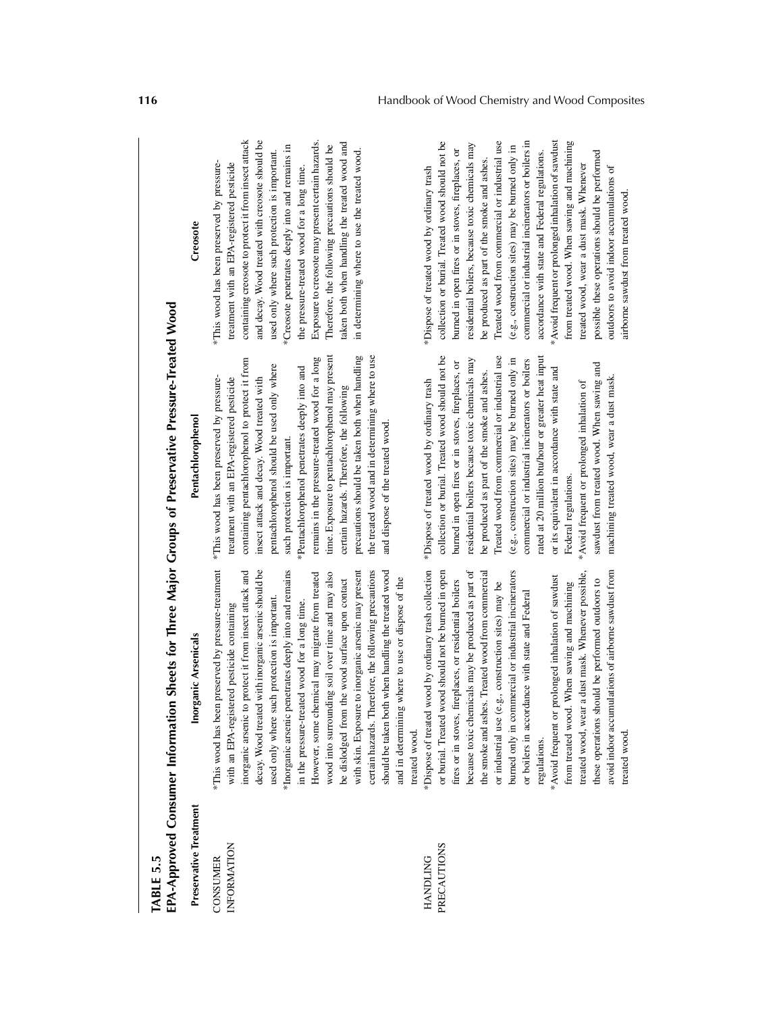TABLE 5.5 **TABLE 5.5** 

# **EPA-Approved Consumer Information Sheets for Three Major Groups of Preservative Pressure-Treated Wood**  EPA-Approved Consumer Information Sheets for Three Major Groups of Preservative Pressure-Treated Wood

| Preservative Treatment         | Inorganic Arsenicals                                                                                                                                                                                                                                                                                                                      | Pentachlorophenol                                                                                                                                                                                                                                                                                                                |   |
|--------------------------------|-------------------------------------------------------------------------------------------------------------------------------------------------------------------------------------------------------------------------------------------------------------------------------------------------------------------------------------------|----------------------------------------------------------------------------------------------------------------------------------------------------------------------------------------------------------------------------------------------------------------------------------------------------------------------------------|---|
| INFORMATION<br><b>CONSUMER</b> | *This wood has been preserved by pressure-treatment *This wood has been preserved by pressure-<br>decay. Wood treated with inorganic arsenic should be<br>inorganic arsenic to protect it from insect attack and<br>with an EPA-registered pesticide containing                                                                           | containing pentachlorophenol to protect it from<br>treatment with an EPA-registered pesticide<br>insect attack and decay. Wood treated with                                                                                                                                                                                      | ⋇ |
|                                | *Inorganic arsenic penetrates deeply into and remains<br>wood into surrounding soil over time and may also<br>However, some chemical may migrate from treated<br>used only where such protection is important.<br>in the pressure-treated wood for a long time.                                                                           | time. Exposure to pentachlorophenol may present<br>remains in the pressure-treated wood for a long<br>pentachlorophenol should be used only where<br>*Pentachlorophenol penetrates deeply into and<br>such protection is important.                                                                                              | ⋇ |
|                                | with skin. Exposure to inorganic arsenic may present<br>certain hazards. Therefore, the following precautions<br>should be taken both when handling the treated wood<br>and in determining where to use or dispose of the<br>be dislodged from the wood surface upon contact<br>treated wood.                                             | precautions should be taken both when handling<br>the treated wood and in determining where to use<br>certain hazards. Therefore, the following<br>and dispose of the treated wood.                                                                                                                                              |   |
| PRECAUTIONS<br><b>HANDLING</b> | *Dispose of treated wood by ordinary trash collection<br>or burial. Treated wood should not be burned in open<br>because toxic chemicals may be produced as part of<br>the smoke and ashes. Treated wood from commercial<br>fires or in stoves, fireplaces, or residential boilers<br>or industrial use (e.g., construction sites) may be | collection or burial. Treated wood should not be<br>Treated wood from commercial or industrial use<br>residential boilers because toxic chemicals may<br>burned in open fires or in stoves, fireplaces, or<br>be produced as part of the smoke and ashes.<br>*Dispose of treated wood by ordinary trash                          | ∗ |
|                                | burned only in commercial or industrial incinerators<br>treated wood, wear a dust mask. Whenever possible,<br>*Avoid frequent or prolonged inhalation of sawdust<br>these operations should be performed outdoors to<br>from treated wood. When sawing and machining<br>or boilers in accordance with state and Federal<br>regulations.   | rated at 20 million btu/hour or greater heat input<br>(e.g., construction sites) may be burned only in<br>commercial or industrial incinerators or boilers<br>sawdust from treated wood. When sawing and<br>or its equivalent in accordance with state and<br>*Avoid frequent or prolonged inhalation of<br>Federal regulations. | ∗ |

Creosote **Creosote** 

containing creosote to protect it from insect attack and decay. Wood treated with creosote should be containing creosote to protect it from insect attack and decay. Wood treated with creosote should be taken both when handling the treated wood and Exposure to creosote may present certain hazards. Exposure to creosote may present certain hazards. taken both when handling the treated wood and Creosote penetrates deeply into and remains in Therefore, the following precautions should be Therefore, the following precautions should be \*Creosote penetrates deeply into and remains in used only where such protection is important. in determining where to use the treated wood. in determining where to use the treated wood. used only where such protection is important. This wood has been preserved by pressure-\*This wood has been preserved by pressuretreatment with an EPA-registered pesticide treatment with an EPA-registered pesticide the pressure-treated wood for a long time. the pressure-treated wood for a long time.

sawdust from treated wood. When sawing and machining treated wood, wear a dust mask. and indoor accumulations of airborne sawdust from machining treated wood, wear a dust mask.

avoid indoor accumulations of airborne sawdust from

treated wood.

treated wood.

\*Avoid frequent or prolonged inhalation of sawdust collection or burial. Treated wood should not be Treated wood from commercial or industrial use from treated wood. When sawing and machining collection or burial. Treated wood should not be residential boilers, because toxic chemicals may Treated wood from commercial or industrial use commercial or industrial incinerators or boilers in commercial or industrial incinerators or boilers in Avoid frequent or prolonged inhalation of sawdust from treated wood. When sawing and machining residential boilers, because toxic chemicals may (e.g., construction sites) may be burned only in (e.g., construction sites) may be burned only in burned in open fires or in stoves, fireplaces, or burned in open fires or in stoves, fireplaces, or accordance with state and Federal regulations. possible these operations should be performed accordance with state and Federal regulations. possible these operations should be performed be produced as part of the smoke and ashes. be produced as part of the smoke and ashes. treated wood, wear a dust mask. Whenever treated wood, wear a dust mask. Whenever outdoors to avoid indoor accumulations of outdoors to avoid indoor accumulations of Dispose of treated wood by ordinary trash \*Dispose of treated wood by ordinary trash airborne sawdust from treated wood. airborne sawdust from treated wood.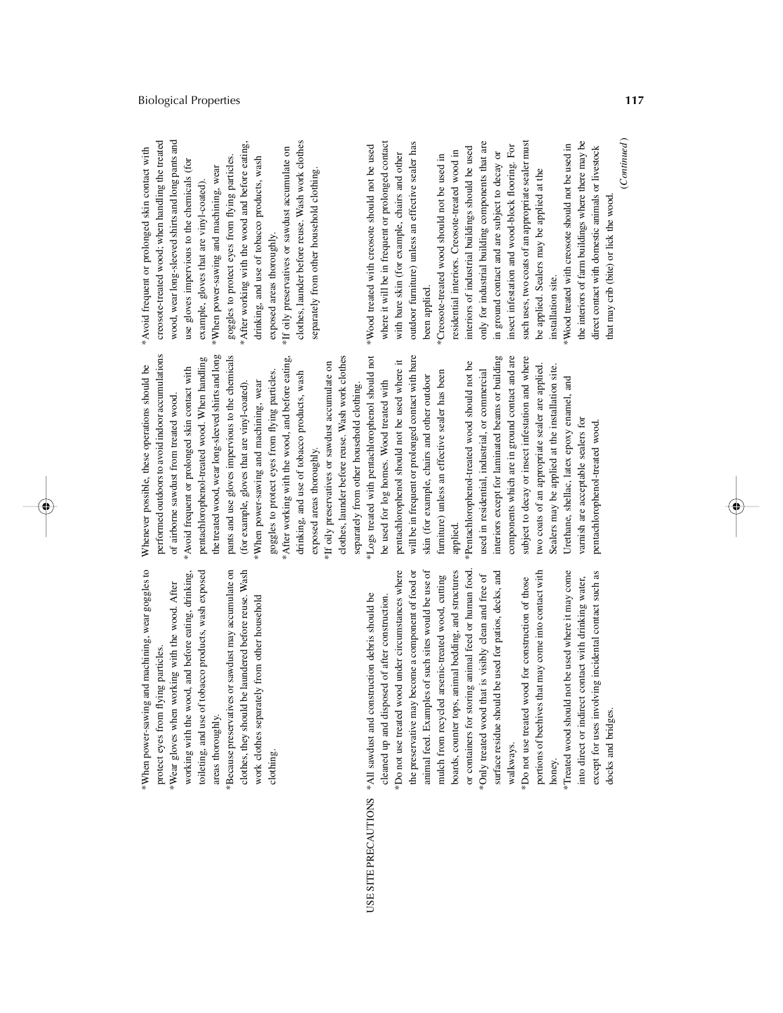'When power-sawing and machining, wear goggles to \*When power-sawing and machining, wear goggles to protect eyes from flying particles. protect eyes from flying particles.

working with the wood, and before eating, drinking, toileting, and use of tobacco products, wash exposed toileting, and use of tobacco products, wash exposed working with the wood, and before eating, drinking, \*Wear gloves when working with the wood. After Wear gloves when working with the wood. After areas thoroughly. areas thoroughly. Because preservatives or sawdust may accumulate on \*Because preservatives or sawdust may accumulate on clothes, they should be laundered before reuse. Wash clothes, they should be laundered before reuse. Wash work clothes separately from other household work clothes separately from other household clothing.

## \*All sawdust and construction debris should be USE SITE PRECAUTIONS \*All sawdust and construction debris should be USE SITE PRECAUTIONS

or containers for storing animal feed or human food. the preservative may become a component of food or animal feed. Examples of such sites would be use of surface residue should be used for patios, decks, and Do not use treated wood under circumstances where the preservative may become a component of food or animal feed. Examples of such sites would be use of boards, counter tops, animal bedding, and structures or containers for storing animal feed or human food. surface residue should be used for patios, decks, and \*Do not use treated wood under circumstances where boards, counter tops, animal bedding, and structures Only treated wood that is visibly clean and free of mulch from recycled arsenic-treated wood, cutting mulch from recycled arsenic-treated wood, cutting \*Only treated wood that is visibly clean and free of cleaned up and disposed of after construction. cleaned up and disposed of after construction. walkways.

applied.

portions of beehives that may come into contact with portions of beehives that may come into contact with Do not use treated wood for construction of those \*Do not use treated wood for construction of those honey.

\*Treated wood should not be used where it may come Treated wood should not be used where it may come except for uses involving incidental contact such as except for uses involving incidental contact such as into direct or indirect contact with drinking water, into direct or indirect contact with drinking water, docks and bridges. docks and bridges

separately from other household clothing. performed outdoors to avoid indoor accumulations performed outdoors to avoid indoor accumulations the treated wood, wear long-sleeved shirts and long the treated wood, wear long-sleeved shirts and long Logs treated with pentachlorophenol should not pants and use gloves impervious to the chemicals pants and use gloves impervious to the chemicals \*After working with the wood, and before eating, clothes, launder before reuse. Wash work clothes will be in frequent or prolonged contact with bare pentachlorophenol-treated wood. When handling After working with the wood, and before eating, clothes, launder before reuse. Wash work clothes will be in frequent or prolonged contact with bare pentachlorophenol-treated wood. When handling \*Logs treated with pentachlorophenol should not pentachlorophenol should not be used where it If oily preservatives or sawdust accumulate on \*If oily preservatives or sawdust accumulate on pentachlorophenol should not be used where it Whenever possible, these operations should be Whenever possible, these operations should be 'Avoid frequent or prolonged skin contact with \*Avoid frequent or prolonged skin contact with furniture) unless an effective sealer has been furniture) unless an effective sealer has been goggles to protect eyes from flying particles. goggles to protect eyes from flying particles. drinking, and use of tobacco products, wash drinking, and use of tobacco products, wash skin (for example, chairs and other outdoor skin (for example, chairs and other outdoor be used for log homes. Wood treated with (for example, gloves that are vinyl-coated). (for example, gloves that are vinyl-coated). \*When power-sawing and machining, wear \*When power-sawing and machining, wear be used for log homes. Wood treated with separately from other household clothing. separately from other household clothing. of airborne sawdust from treated wood. of airborne sawdust from treated wood. exposed areas thoroughly. exposed areas thoroughly.

separately from other household clothing.

components which are in ground contact and are interiors except for laminated beams or building interiors except for laminated beams or building subject to decay or insect infestation and where components which are in ground contact and are subject to decay or insect infestation and where \*Pentachlorophenol-treated wood should not be two coats of an appropriate sealer are applied. \*Pentachlorophenol-treated wood should not be two coats of an appropriate sealer are applied. Sealers may be applied at the installation site. Sealers may be applied at the installation site. used in residential, industrial, or commercial used in residential, industrial, or commercial Urethane, shellac, latex epoxy enamel, and Urethane, shellac, latex epoxy enamel, and varnish are acceptable sealers for varnish are acceptable sealers for pentachlorophenol-treated wood. pentachlorophenol-treated wood.

wood, wear long-sleeved shirts and long pants and clothes, launder before reuse. Wash work clothes wood, wear long-sleeved shirts and long pants and \*After working with the wood and before eating, creosote-treated wood; when handling the treated creosote-treated wood; when handling the treated \*After working with the wood and before eating, clothes, launder before reuse. Wash work clothes \*If oily preservatives or sawdust accumulate on \*Avoid frequent or prolonged skin contact with If oily preservatives or sawdust accumulate on \*Avoid frequent or prolonged skin contact with goggles to protect eyes from flying particles. drinking, and use of tobacco products, wash use gloves impervious to the chemicals (for goggles to protect eyes from flying particles. use gloves impervious to the chemicals (for drinking, and use of tobacco products, wash \*When power-sawing and machining, wear \*When power-sawing and machining, wear example, gloves that are vinyl-coated). example, gloves that are vinyl-coated). exposed areas thoroughly. exposed areas thoroughly.

outdoor furniture) unless an effective sealer has where it will be in frequent or prolonged contact where it will be in frequent or prolonged contact \*Wood treated with creosote should not be used \*Wood treated with creosote should not be used outdoor furniture) unless an effective sealer has with bare skin (for example, chairs and other with bare skin (for example, chairs and other been applied. been applied.

such uses, two coats of an appropriate sealer must only for industrial building components that are only for industrial building components that are such uses, two coats of an appropriate sealer must insect infestation and wood-block flooring. For insect infestation and wood-block flooring. For interiors of industrial buildings should be used interiors of industrial buildings should be used residential interiors. Creosote-treated wood in in ground contact and are subject to decay or residential interiors. Creosote-treated wood in \*Creosote-treated wood should not be used in in ground contact and are subject to decay or \*Creosote-treated wood should not be used in be applied. Sealers may be applied at the be applied. Sealers may be applied at the installation site. installation site.

the interiors of farm buildings where there may be Wood treated with creosote should not be used in \*Wood treated with creosote should not be used in the interiors of farm buildings where there may be direct contact with domestic animals or livestock direct contact with domestic animals or livestock that may crib (bite) or lick the wood. that may crib (bite) or lick the wood

(*Continued* )  $(Continued)$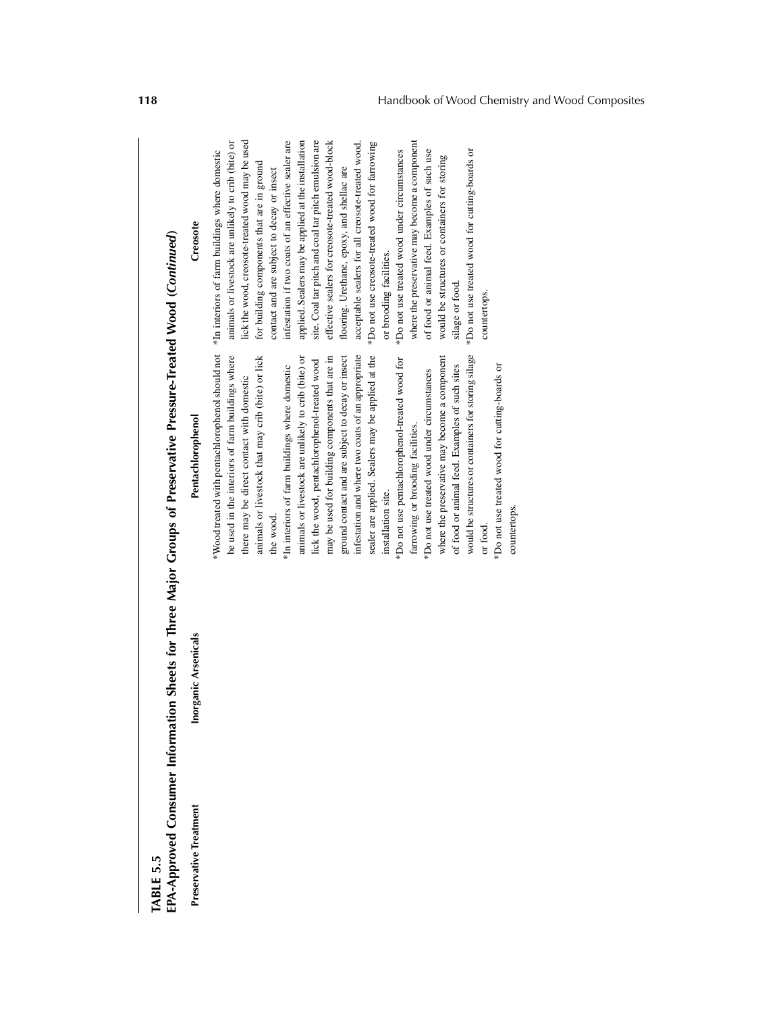**TABLE 5.5 TABLE 5.5** 

EPA-Approved Consumer Information Sheets for Three Major Groups of Preservative Pressure-Treated Wood (Continued) **EPA-Approved Consumer Information Sheets for Three Major Groups of Preservative Pressure-Treated Wood (***Continued***)** 

| Preservative Treatment | rganic Arsenicals<br>ē | Pentachlorophenol                                                                              | Creosote                                             |
|------------------------|------------------------|------------------------------------------------------------------------------------------------|------------------------------------------------------|
|                        |                        | *Wood treated with pentachlorophenol should not *In interiors of farm buildings where domestic |                                                      |
|                        |                        | be used in the interiors of farm buildings where                                               | animals or livestock are unlikely to crib (bite) or  |
|                        |                        | there may be direct contact with domestic                                                      | lick the wood, creosote-treated wood may be used     |
|                        |                        | animals or livestock that may crib (bite) or lick                                              | for building components that are in ground           |
|                        |                        | the wood.                                                                                      | contact and are subject to decay or insect           |
|                        |                        | *In interiors of farm buildings where domestic                                                 | infestation if two coats of an effective sealer are  |
|                        |                        | animals or livestock are unlikely to crib (bite) or                                            | applied. Sealers may be applied at the installation  |
|                        |                        | lick the wood, pentachlorophenol-treated wood                                                  | site. Coal tar pitch and coal tar pitch emulsion are |
|                        |                        | may be used for building components that are in                                                | effective sealers for creosote-treated wood-block    |
|                        |                        | ground contact and are subject to decay or insect                                              | flooring. Urethane, epoxy, and shellac are           |
|                        |                        | infestation and where two coats of an appropriate                                              | acceptable sealers for all creosote-treated wood.    |
|                        |                        | sealer are applied. Sealers may be applied at the                                              | *Do not use creosote-treated wood for farrowing      |
|                        |                        | installation site.                                                                             | or brooding facilities.                              |
|                        |                        | *Do not use pentachlorophenol-treated wood for                                                 | *Do not use treated wood under circumstances         |
|                        |                        | farrowing or brooding facilities.                                                              | where the preservative may become a component        |
|                        |                        | *Do not use treated wood under circumstances                                                   | of food or animal feed. Examples of such use         |
|                        |                        | where the preservative may become a component                                                  | would be structures or containers for storing        |
|                        |                        | of food or animal feed. Examples of such sites                                                 | silage or food.                                      |
|                        |                        | would be structures or containers for storing silage                                           | *Do not use treated wood for cutting-boards or       |
|                        |                        | or food.                                                                                       | countertops.                                         |
|                        |                        | *Do not use treated wood for cutting-boards or                                                 |                                                      |
|                        |                        | countertops.                                                                                   |                                                      |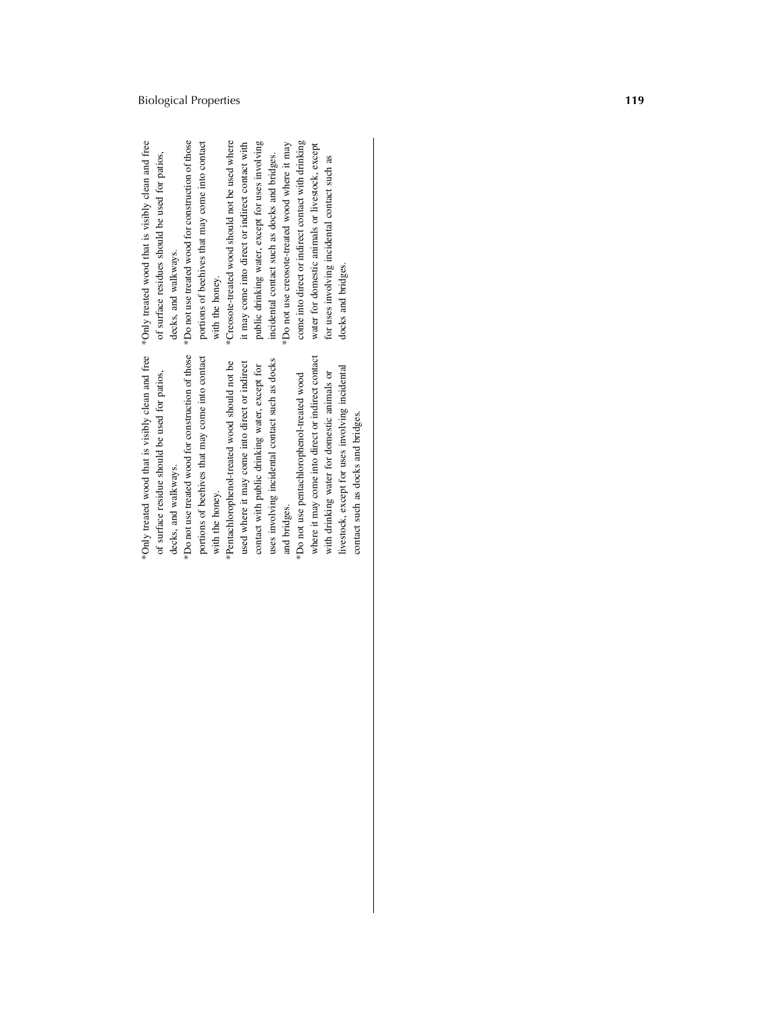Only treated wood that is visibly clean and free \*Only treated wood that is visibly clean and free of surface residue should be used for patios, of surface residue should be used for patios, decks, and walkways.

\*Do not use treated wood for construction of those portions of beehives that may come into contact portions of beehives that may come into contact \*Do not use treated wood for construction of those decks, and walkways. with the honey. with the honey.

uses involving incidental contact such as docks uses involving incidental contact such as docks \*Pentachlorophenol-treated wood should not be used where it may come into direct or indirect contact with public drinking water, except for \*Pentachlorophenol-treated wood should not be used where it may come into direct or indirect contact with public drinking water, except for and bridges. and bridges.

where it may come into direct or indirect contact where it may come into direct or indirect contact livestock, except for uses involving incidental livestock, except for uses involving incidental with drinking water for domestic animals or 'Do not use pentachlorophenol-treated wood with drinking water for domestic animals or \*Do not use pentachlorophenol-treated wood contact such as docks and bridges. contact such as docks and bridges.

portions of beehives that may come into contact \*Only treated wood that is visibly clean and free \*Only treated wood that is visibly clean and free \*Do not use treated wood for construction of those \*Do not use treated wood for construction of those portions of beehives that may come into contact of surface residues should be used for patios, of surface residues should be used for patios, decks, and walkways. decks, and walkways.

\*Creosote-treated wood should not be used where public drinking water, except for uses involving public drinking water, except for uses involving \*Creosote-treated wood should not be used where it may come into direct or indirect contact with Do not use creosote-treated wood where it may come into direct or indirect contact with drinking come into direct or indirect contact with drinking water for domestic animals or livestock, except water for domestic animals or livestock, except it may come into direct or indirect contact with \*Do not use creosote-treated wood where it may incidental contact such as docks and bridges. for uses involving incidental contact such as incidental contact such as docks and bridges. for uses involving incidental contact such as docks and bridges. docks and bridges. with the honey. with the honey.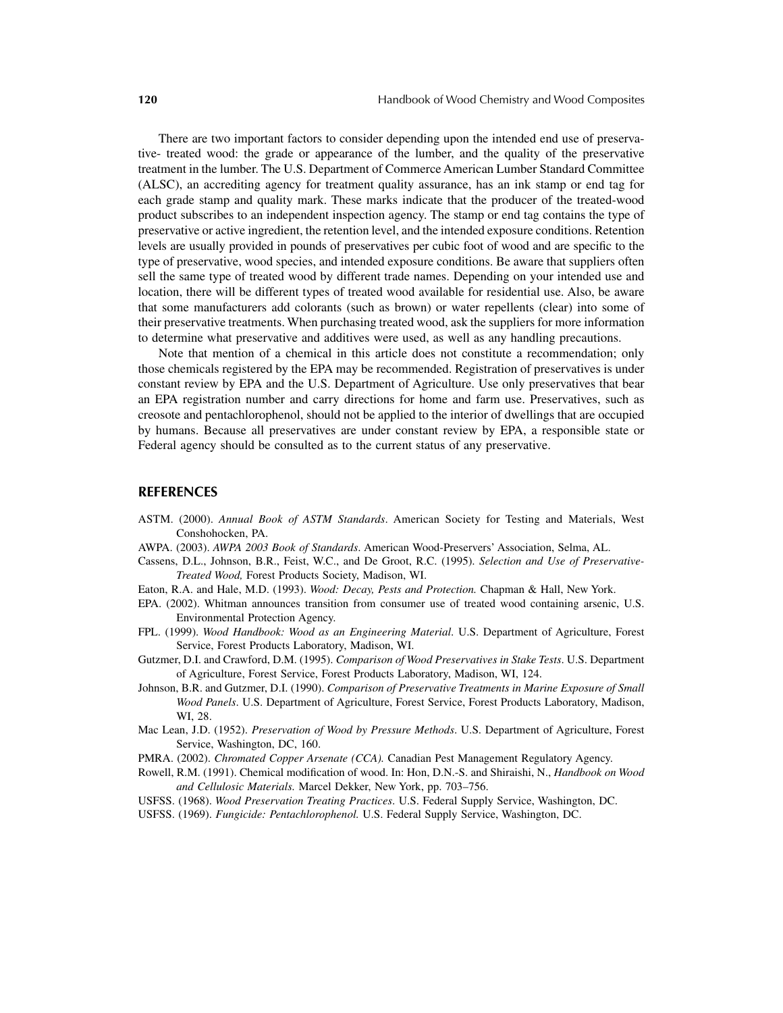There are two important factors to consider depending upon the intended end use of preservative- treated wood: the grade or appearance of the lumber, and the quality of the preservative treatment in the lumber. The U.S. Department of Commerce American Lumber Standard Committee (ALSC), an accrediting agency for treatment quality assurance, has an ink stamp or end tag for each grade stamp and quality mark. These marks indicate that the producer of the treated-wood product subscribes to an independent inspection agency. The stamp or end tag contains the type of preservative or active ingredient, the retention level, and the intended exposure conditions. Retention levels are usually provided in pounds of preservatives per cubic foot of wood and are specific to the type of preservative, wood species, and intended exposure conditions. Be aware that suppliers often sell the same type of treated wood by different trade names. Depending on your intended use and location, there will be different types of treated wood available for residential use. Also, be aware that some manufacturers add colorants (such as brown) or water repellents (clear) into some of their preservative treatments. When purchasing treated wood, ask the suppliers for more information to determine what preservative and additives were used, as well as any handling precautions.

Note that mention of a chemical in this article does not constitute a recommendation; only those chemicals registered by the EPA may be recommended. Registration of preservatives is under constant review by EPA and the U.S. Department of Agriculture. Use only preservatives that bear an EPA registration number and carry directions for home and farm use. Preservatives, such as creosote and pentachlorophenol, should not be applied to the interior of dwellings that are occupied by humans. Because all preservatives are under constant review by EPA, a responsible state or Federal agency should be consulted as to the current status of any preservative.

#### **REFERENCES**

- ASTM. (2000). *Annual Book of ASTM Standards*. American Society for Testing and Materials, West Conshohocken, PA.
- AWPA. (2003). *AWPA 2003 Book of Standards*. American Wood-Preservers' Association, Selma, AL.
- Cassens, D.L., Johnson, B.R., Feist, W.C., and De Groot, R.C. (1995). *Selection and Use of Preservative-Treated Wood,* Forest Products Society, Madison, WI.
- Eaton, R.A. and Hale, M.D. (1993). *Wood: Decay, Pests and Protection.* Chapman & Hall, New York.
- EPA. (2002). Whitman announces transition from consumer use of treated wood containing arsenic, U.S. Environmental Protection Agency.
- FPL. (1999). *Wood Handbook: Wood as an Engineering Material*. U.S. Department of Agriculture, Forest Service, Forest Products Laboratory, Madison, WI.
- Gutzmer, D.I. and Crawford, D.M. (1995). *Comparison of Wood Preservatives in Stake Tests*. U.S. Department of Agriculture, Forest Service, Forest Products Laboratory, Madison, WI, 124.
- Johnson, B.R. and Gutzmer, D.I. (1990). *Comparison of Preservative Treatments in Marine Exposure of Small Wood Panels*. U.S. Department of Agriculture, Forest Service, Forest Products Laboratory, Madison, WI, 28.
- Mac Lean, J.D. (1952). *Preservation of Wood by Pressure Methods*. U.S. Department of Agriculture, Forest Service, Washington, DC, 160.
- PMRA. (2002). *Chromated Copper Arsenate (CCA).* Canadian Pest Management Regulatory Agency.
- Rowell, R.M. (1991). Chemical modification of wood. In: Hon, D.N.-S. and Shiraishi, N., *Handbook on Wood and Cellulosic Materials.* Marcel Dekker, New York, pp. 703–756.
- USFSS. (1968). *Wood Preservation Treating Practices*. U.S. Federal Supply Service, Washington, DC.
- USFSS. (1969). *Fungicide: Pentachlorophenol.* U.S. Federal Supply Service, Washington, DC.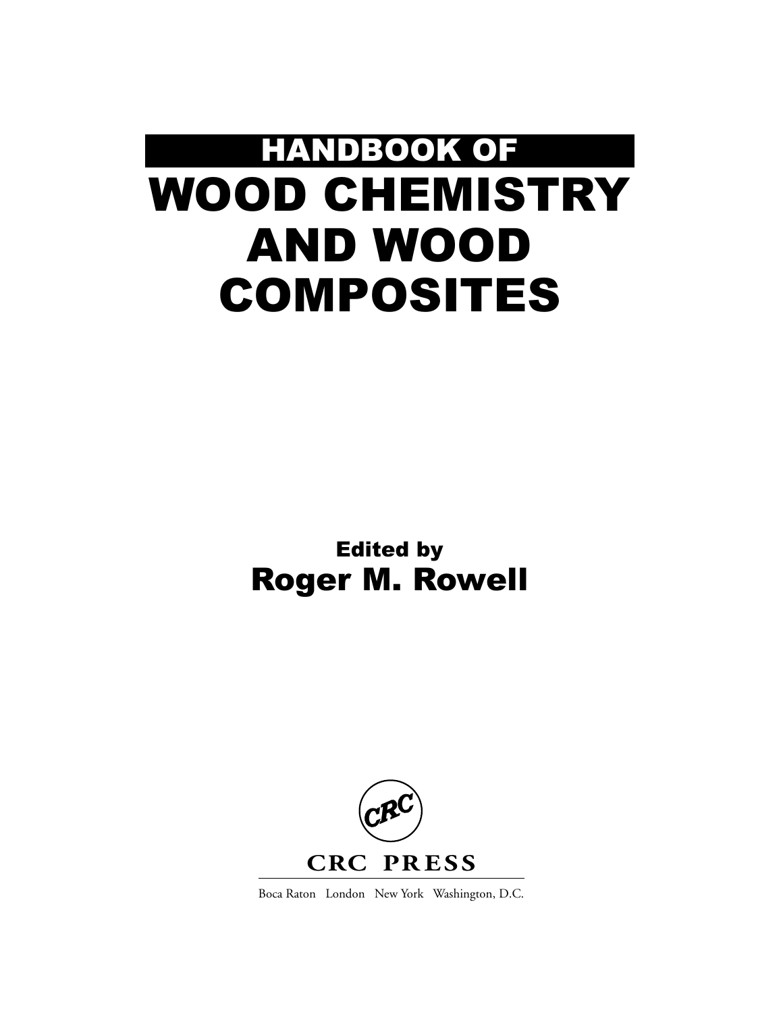### HANDBOOK OF WOOD CHEMISTRY AND WOOD COMPOSITES

Edited by Roger M. Rowell



Boca Raton London New York Washington, D.C.